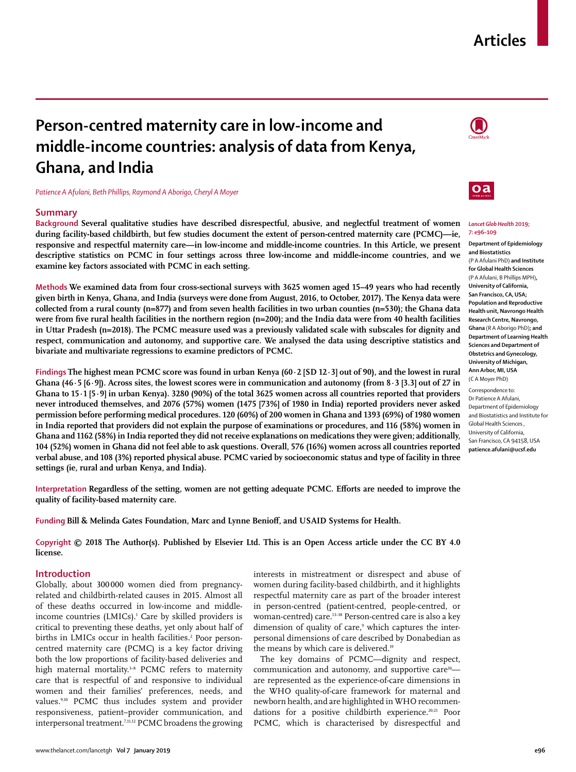## **Articles**

# **Person-centred maternity care in low-income and middle-income countries: analysis of data from Kenya, Ghana, and India**

*Patience A Afulani, Beth Phillips, Raymond A Aborigo, Cheryl A Moyer*

#### **Summary**

**Background Several qualitative studies have described disrespectful, abusive, and neglectful treatment of women during facility-based childbirth, but few studies document the extent of person-centred maternity care (PCMC)—ie, responsive and respectful maternity care—in low-income and middle-income countries. In this Article, we present descriptive statistics on PCMC in four settings across three low-income and middle-income countries, and we examine key factors associated with PCMC in each setting.**

**Methods We examined data from four cross-sectional surveys with 3625 women aged 15–49 years who had recently given birth in Kenya, Ghana, and India (surveys were done from August, 2016, to October, 2017). The Kenya data were collected from a rural county (n=877) and from seven health facilities in two urban counties (n=530); the Ghana data were from five rural health facilities in the northern region (n=200); and the India data were from 40 health facilities in Uttar Pradesh (n=2018). The PCMC measure used was a previously validated scale with subscales for dignity and respect, communication and autonomy, and supportive care. We analysed the data using descriptive statistics and bivariate and multivariate regressions to examine predictors of PCMC.**

**Findings The highest mean PCMC score was found in urban Kenya (60·2 [SD 12·3] out of 90), and the lowest in rural Ghana (46·5 [6·9]). Across sites, the lowest scores were in communication and autonomy (from 8·3 [3.3] out of 27 in Ghana to 15·1 [5·9] in urban Kenya). 3280 (90%) of the total 3625 women across all countries reported that providers never introduced themselves, and 2076 (57%) women (1475 [73%] of 1980 in India) reported providers never asked permission before performing medical procedures. 120 (60%) of 200 women in Ghana and 1393 (69%) of 1980 women in India reported that providers did not explain the purpose of examinations or procedures, and 116 (58%) women in Ghana and 1162 (58%) in India reported they did not receive explanations on medications they were given; additionally, 104 (52%) women in Ghana did not feel able to ask questions. Overall, 576 (16%) women across all countries reported verbal abuse, and 108 (3%) reported physical abuse. PCMC varied by socioeconomic status and type of facility in three settings (ie, rural and urban Kenya, and India).**

**Interpretation Regardless of the setting, women are not getting adequate PCMC. Efforts are needed to improve the quality of facility-based maternity care.**

**Funding Bill & Melinda Gates Foundation, Marc and Lynne Benioff, and USAID Systems for Health.**

**Copyright © 2018 The Author(s). Published by Elsevier Ltd. This is an Open Access article under the CC BY 4.0 license.**

## **Introduction**

Globally, about 300 000 women died from pregnancyrelated and childbirth-related causes in 2015. Almost all of these deaths occurred in low-income and middleincome countries (LMICs).<sup>1</sup> Care by skilled providers is critical to preventing these deaths, yet only about half of births in LMICs occur in health facilities.<sup>2</sup> Poor personcentred maternity care (PCMC) is a key factor driving both the low proportions of facility-based deliveries and high maternal mortality.<sup>3-8</sup> PCMC refers to maternity care that is respectful of and responsive to individual women and their families' preferences, needs, and values.<sup>9,10</sup> PCMC thus includes system and provider responsiveness, patient–provider communication, and interpersonal treatment.7,11,12 PCMC broadens the growing

interests in mistreatment or disrespect and abuse of women during facility-based childbirth, and it highlights respectful maternity care as part of the broader interest in person-centred (patient-centred, people-centred, or woman-centred) care.<sup>13-18</sup> Person-centred care is also a key dimension of quality of care,<sup>9</sup> which captures the interpersonal dimensions of care described by Donabedian as the means by which care is delivered.<sup>19</sup>

The key domains of PCMC—dignity and respect, communication and autonomy, and supportive care<sup>10</sup> are represented as the experience-of-care dimensions in the WHO quality-of-care framework for maternal and newborn health, and are highlighted in WHO recommendations for a positive childbirth experience.<sup>20,21</sup> Poor PCMC, which is characterised by disrespectful and





## *Lancet Glob Health* **2019; 7: e96–109**

**Department of Epidemiology and Biostatistics**  (P A Afulani PhD) **and Institute for Global Health Sciences**  (P A Afulani, B Phillips MPH)**, University of California, San Francisco, CA, USA; Population and Reproductive Health unit, Navrongo Health Research Centre, Navrongo, Ghana** (R A Aborigo PhD)**; and Department of Learning Health Sciences and Department of Obstetrics and Gynecology, University of Michigan, Ann Arbor, MI, USA**  (C A Moyer PhD)

Correspondence to: Dr Patience A Afulani, Department of Epidemiology and Biostatistics and Institute for Global Health Sciences , University of California, San Francisco, CA 94158, USA **patience.afulani@ucsf.edu**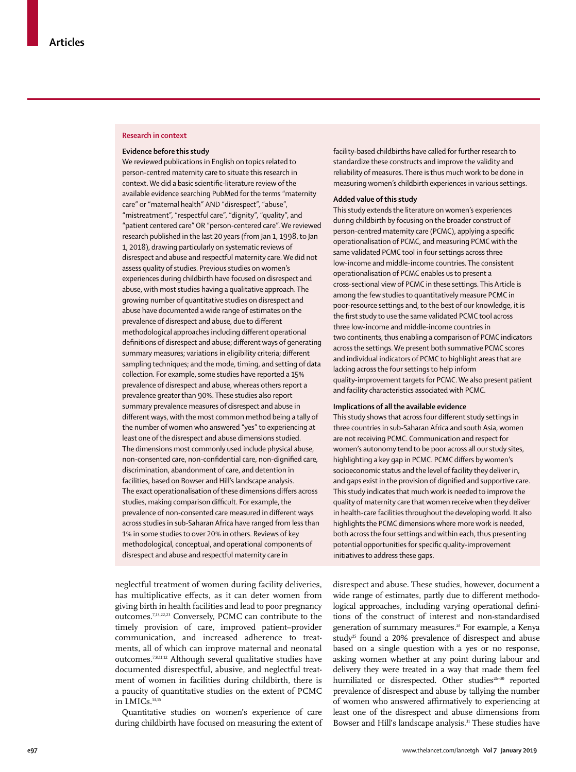## **Research in context**

#### **Evidence before this study**

We reviewed publications in English on topics related to person-centred maternity care to situate this research in context. We did a basic scientific-literature review of the available evidence searching PubMed for the terms "maternity care" or "maternal health" AND "disrespect", "abuse", "mistreatment", "respectful care", "dignity", "quality", and "patient centered care" OR "person-centered care". We reviewed research published in the last 20 years (from Jan 1, 1998, to Jan 1, 2018), drawing particularly on systematic reviews of disrespect and abuse and respectful maternity care. We did not assess quality of studies. Previous studies on women's experiences during childbirth have focused on disrespect and abuse, with most studies having a qualitative approach. The growing number of quantitative studies on disrespect and abuse have documented a wide range of estimates on the prevalence of disrespect and abuse, due to different methodological approaches including different operational definitions of disrespect and abuse; different ways of generating summary measures; variations in eligibility criteria; different sampling techniques; and the mode, timing, and setting of data collection. For example, some studies have reported a 15% prevalence of disrespect and abuse, whereas others report a prevalence greater than 90%. These studies also report summary prevalence measures of disrespect and abuse in different ways, with the most common method being a tally of the number of women who answered "yes" to experiencing at least one of the disrespect and abuse dimensions studied. The dimensions most commonly used include physical abuse, non-consented care, non-confidential care, non-dignified care, discrimination, abandonment of care, and detention in facilities, based on Bowser and Hill's landscape analysis. The exact operationalisation of these dimensions differs across studies, making comparison difficult. For example, the prevalence of non-consented care measured in different ways across studies in sub-Saharan Africa have ranged from less than 1% in some studies to over 20% in others. Reviews of key methodological, conceptual, and operational components of disrespect and abuse and respectful maternity care in

neglectful treatment of women during facility deliveries, has multiplicative effects, as it can deter women from giving birth in health facilities and lead to poor pregnancy outcomes.7,13,22,23 Conversely, PCMC can contribute to the timely provision of care, improved patient–provider communication, and increased adherence to treatments, all of which can improve maternal and neonatal outcomes.7,8,11,12 Although several qualitative studies have documented disrespectful, abusive, and neglectful treatment of women in facilities during childbirth, there is a paucity of quantitative studies on the extent of PCMC in LMICs.<sup>13,15</sup>

Quantitative studies on women's experience of care during childbirth have focused on measuring the extent of facility-based childbirths have called for further research to standardize these constructs and improve the validity and reliability of measures. There is thus much work to be done in measuring women's childbirth experiences in various settings.

#### **Added value of this study**

This study extends the literature on women's experiences during childbirth by focusing on the broader construct of person-centred maternity care (PCMC), applying a specific operationalisation of PCMC, and measuring PCMC with the same validated PCMC tool in four settings across three low-income and middle-income countries. The consistent operationalisation of PCMC enables us to present a cross-sectional view of PCMC in these settings. This Article is among the few studies to quantitatively measure PCMC in poor-resource settings and, to the best of our knowledge, it is the first study to use the same validated PCMC tool across three low-income and middle-income countries in two continents, thus enabling a comparison of PCMC indicators across the settings. We present both summative PCMC scores and individual indicators of PCMC to highlight areas that are lacking across the four settings to help inform quality-improvement targets for PCMC. We also present patient and facility characteristics associated with PCMC.

#### **Implications of all the available evidence**

This study shows that across four different study settings in three countries in sub-Saharan Africa and south Asia, women are not receiving PCMC. Communication and respect for women's autonomy tend to be poor across all our study sites, highlighting a key gap in PCMC. PCMC differs by women's socioeconomic status and the level of facility they deliver in, and gaps exist in the provision of dignified and supportive care. This study indicates that much work is needed to improve the quality of maternity care that women receive when they deliver in health-care facilities throughout the developing world. It also highlights the PCMC dimensions where more work is needed, both across the four settings and within each, thus presenting potential opportunities for specific quality-improvement initiatives to address these gaps.

disrespect and abuse. These studies, however, document a wide range of estimates, partly due to different methodological approaches, including varying operational definitions of the construct of interest and non-standardised generation of summary measures.<sup>24</sup> For example, a Kenya study<sup>25</sup> found a 20% prevalence of disrespect and abuse based on a single question with a yes or no response, asking women whether at any point during labour and delivery they were treated in a way that made them feel humiliated or disrespected. Other studies<sup>26-30</sup> reported prevalence of disrespect and abuse by tallying the number of women who answered affirmatively to experiencing at least one of the disrespect and abuse dimensions from Bowser and Hill's landscape analysis.<sup>31</sup> These studies have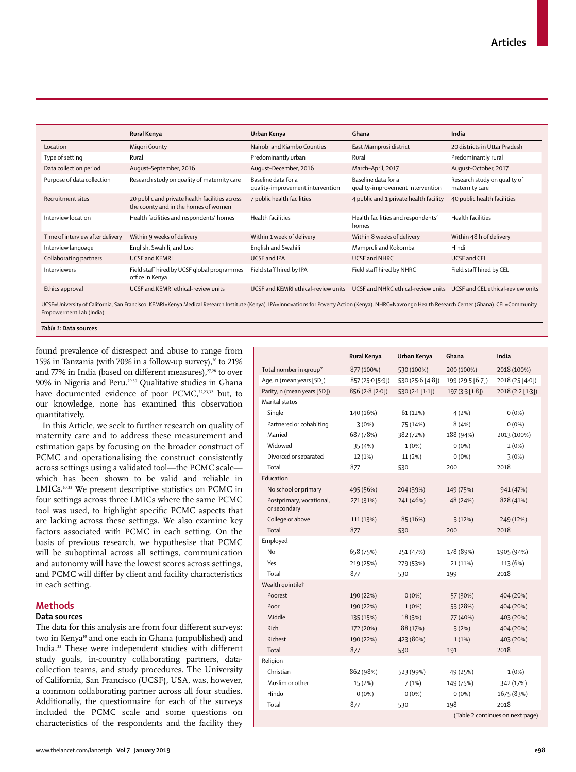|                                  | Rural Kenya                                                                                                                                                                                           | Urban Kenya                                             | Ghana                                                                | India                                          |
|----------------------------------|-------------------------------------------------------------------------------------------------------------------------------------------------------------------------------------------------------|---------------------------------------------------------|----------------------------------------------------------------------|------------------------------------------------|
| Location                         | Migori County                                                                                                                                                                                         | Nairobi and Kiambu Counties                             | East Mamprusi district                                               | 20 districts in Uttar Pradesh                  |
| Type of setting                  | Rural                                                                                                                                                                                                 | Predominantly urban                                     | Rural                                                                | Predominantly rural                            |
| Data collection period           | August-September, 2016                                                                                                                                                                                | August-December, 2016                                   | March-April, 2017                                                    | August-October, 2017                           |
| Purpose of data collection       | Research study on quality of maternity care                                                                                                                                                           | Baseline data for a<br>quality-improvement intervention | Baseline data for a<br>quality-improvement intervention              | Research study on quality of<br>maternity care |
| Recruitment sites                | 20 public and private health facilities across<br>the county and in the homes of women                                                                                                                | 7 public health facilities                              | 4 public and 1 private health facility                               | 40 public health facilities                    |
| Interview location               | Health facilities and respondents' homes                                                                                                                                                              | Health facilities                                       | Health facilities and respondents'<br>homes                          | Health facilities                              |
| Time of interview after delivery | Within 9 weeks of delivery                                                                                                                                                                            | Within 1 week of delivery                               | Within 8 weeks of delivery                                           | Within 48 h of delivery                        |
| Interview language               | English, Swahili, and Luo                                                                                                                                                                             | English and Swahili                                     | Mampruli and Kokomba                                                 | Hindi                                          |
| Collaborating partners           | <b>UCSF and KEMRI</b>                                                                                                                                                                                 | <b>UCSF</b> and IPA                                     | <b>UCSF and NHRC</b>                                                 | <b>UCSF</b> and CEL                            |
| Interviewers                     | Field staff hired by UCSF global programmes<br>office in Kenya                                                                                                                                        | Field staff hired by IPA                                | Field staff hired by NHRC                                            | Field staff hired by CEL                       |
| Ethics approval                  | UCSF and KEMRI ethical-review units                                                                                                                                                                   | UCSF and KEMRI ethical-review units                     | UCSF and NHRC ethical-review units UCSF and CEL ethical-review units |                                                |
|                                  | UCSF=University of California, San Francisco. KEMRI=Kenya Medical Research Institute (Kenya). IPA=Innovations for Poverty Action (Kenya). NHRC=Navrongo Health Research Center (Ghana). CEL=Community |                                                         |                                                                      |                                                |

Empowerment Lab (India).

*Table 1:* **Data sources**

found prevalence of disrespect and abuse to range from 15% in Tanzania (with 70% in a follow-up survey), $26$  to 21% and 77% in India (based on different measures), $z_{7,28}$  to over 90% in Nigeria and Peru.29,30 Qualitative studies in Ghana have documented evidence of poor PCMC,<sup>22,23,32</sup> but, to our knowledge, none has examined this observation quantitatively.

In this Article, we seek to further research on quality of maternity care and to address these measurement and estimation gaps by focusing on the broader construct of PCMC and operationalising the construct consistently across settings using a validated tool—the PCMC scale which has been shown to be valid and reliable in LMICs.10,33 We present descriptive statistics on PCMC in four settings across three LMICs where the same PCMC tool was used, to highlight specific PCMC aspects that are lacking across these settings. We also examine key factors associated with PCMC in each setting. On the basis of previous research, we hypothesise that PCMC will be suboptimal across all settings, communication and autonomy will have the lowest scores across settings, and PCMC will differ by client and facility characteristics in each setting.

## **Methods**

## **Data sources**

The data for this analysis are from four different surveys: two in Kenya<sup>10</sup> and one each in Ghana (unpublished) and India.33 These were independent studies with different study goals, in-country collaborating partners, datacollection teams, and study procedures. The University of California, San Francisco (UCSF), USA, was, however, a common collaborating partner across all four studies. Additionally, the questionnaire for each of the surveys included the PCMC scale and some questions on characteristics of the respondents and the facility they

|                                          | Rural Kenya      | Urban Kenya       | Ghana            | India                            |
|------------------------------------------|------------------|-------------------|------------------|----------------------------------|
| Total number in group*                   | 877 (100%)       | 530 (100%)        | 200 (100%)       | 2018 (100%)                      |
| Age, n (mean years [SD])                 | 857 (25.0 [5.9]) | 530 (25.6 [4.8])  | 199 (29.5 [6.7]) | 2018 (25 [4.0])                  |
| Parity, n (mean years [SD])              | 856 (2.8 [2.0])  | 530 $(2.1 [1.1])$ | 197(3.3[1.8])    | 2018 (2.2 [1.3])                 |
| Marital status                           |                  |                   |                  |                                  |
| Single                                   | 140 (16%)        | 61 (12%)          | 4(2%)            | $0(0\%)$                         |
| Partnered or cohabiting                  | 3(0%)            | 75 (14%)          | 8(4%)            | $0(0\%)$                         |
| Married                                  | 687 (78%)        | 382 (72%)         | 188 (94%)        | 2013 (100%)                      |
| Widowed                                  | 35 (4%)          | 1(0%)             | $0(0\%)$         | 2(0%)                            |
| Divorced or separated                    | 12 (1%)          | 11 (2%)           | $0(0\%)$         | 3(0%)                            |
| Total                                    | 877              | 530               | 200              | 2018                             |
| Education                                |                  |                   |                  |                                  |
| No school or primary                     | 495 (56%)        | 204 (39%)         | 149 (75%)        | 941 (47%)                        |
| Postprimary, vocational,<br>or secondary | 271 (31%)        | 241 (46%)         | 48 (24%)         | 828 (41%)                        |
| College or above                         | 111 (13%)        | 85 (16%)          | 3(12%)           | 249 (12%)                        |
| Total                                    | 877              | 530               | 200              | 2018                             |
| Employed                                 |                  |                   |                  |                                  |
| No                                       | 658 (75%)        | 251 (47%)         | 178 (89%)        | 1905 (94%)                       |
| Yes                                      | 219 (25%)        | 279 (53%)         | 21 (11%)         | 113 (6%)                         |
| Total                                    | 877              | 530               | 199              | 2018                             |
| Wealth quintilet                         |                  |                   |                  |                                  |
| Poorest                                  | 190 (22%)        | $0(0\%)$          | 57 (30%)         | 404 (20%)                        |
| Poor                                     | 190 (22%)        | $1(0\%)$          | 53 (28%)         | 404 (20%)                        |
| Middle                                   | 135 (15%)        | 18 (3%)           | 77 (40%)         | 403 (20%)                        |
| Rich                                     | 172 (20%)        | 88 (17%)          | 3(2%)            | 404 (20%)                        |
| Richest                                  | 190 (22%)        | 423 (80%)         | 1(1%)            | 403 (20%)                        |
| Total                                    | 877              | 530               | 191              | 2018                             |
| Religion                                 |                  |                   |                  |                                  |
| Christian                                | 862 (98%)        | 523 (99%)         | 49 (25%)         | 1(0%)                            |
| Muslim or other                          | 15 (2%)          | 7(1%)             | 149 (75%)        | 342 (17%)                        |
| Hindu                                    | $0(0\%)$         | $0(0\%)$          | $0(0\%)$         | 1675 (83%)                       |
| Total                                    | 877              | 530               | 198              | 2018                             |
|                                          |                  |                   |                  | (Table 2 continues on next page) |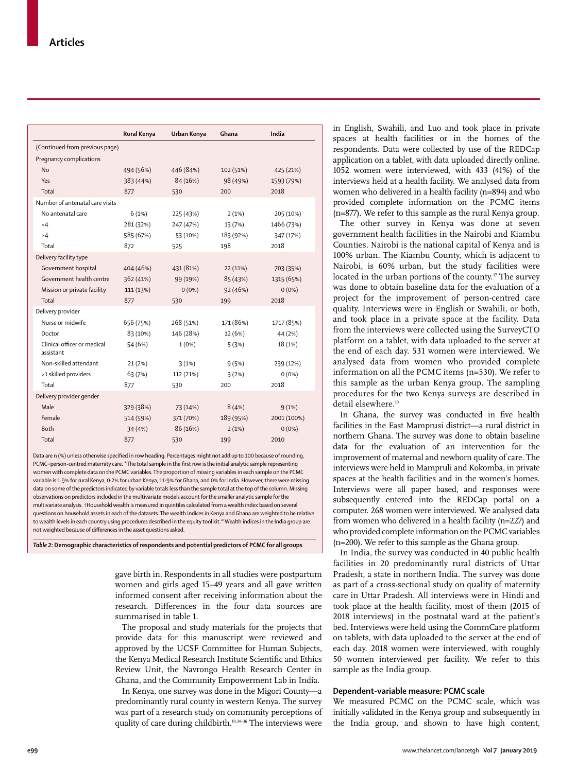|                                          | Rural Kenya | Urban Kenya | Ghana     | India       |
|------------------------------------------|-------------|-------------|-----------|-------------|
| (Continued from previous page)           |             |             |           |             |
| Pregnancy complications                  |             |             |           |             |
| <b>No</b>                                | 494 (56%)   | 446 (84%)   | 102 (51%) | 425 (21%)   |
| Yes                                      | 383 (44%)   | 84 (16%)    | 98 (49%)  | 1593 (79%)  |
| Total                                    | 877         | 530         | 200       | 2018        |
| Number of antenatal care visits          |             |             |           |             |
| No antenatal care                        | 6(1%)       | 225 (43%)   | 2(1%)     | 205 (10%)   |
| $<$ 4                                    | 281 (32%)   | 247 (47%)   | 13 (7%)   | 1466 (73%)  |
| $\geq 4$                                 | 585 (67%)   | 53 (10%)    | 183 (92%) | 347 (17%)   |
| Total                                    | 872         | 525         | 198       | 2018        |
| Delivery facility type                   |             |             |           |             |
| Government hospital                      | 404 (46%)   | 431 (81%)   | 22(11%)   | 703 (35%)   |
| Government health centre                 | 362 (41%)   | 99 (19%)    | 85 (43%)  | 1315 (65%)  |
| Mission or private facility              | 111 (13%)   | $0(0\%)$    | 92 (46%)  | $0(0\%)$    |
| Total                                    | 877         | 530         | 199       | 2018        |
| Delivery provider                        |             |             |           |             |
| Nurse or midwife                         | 656 (75%)   | 268 (51%)   | 171 (86%) | 1717 (85%)  |
| Doctor                                   | 83 (10%)    | 146 (28%)   | 12 (6%)   | 44 (2%)     |
| Clinical officer or medical<br>assistant | 54 (6%)     | 1(0%)       | 5(3%)     | 18 (1%)     |
| Non-skilled attendant                    | 21(2%)      | 3(1%)       | 9(5%)     | 239 (12%)   |
| >1 skilled providers                     | 63 (7%)     | 112 (21%)   | 3(2%)     | $0(0\%)$    |
| Total                                    | 877         | 530         | 200       | 2018        |
| Delivery provider gender                 |             |             |           |             |
| Male                                     | 329 (38%)   | 73 (14%)    | 8(4%)     | 9(1%)       |
| Female                                   | 514 (59%)   | 371 (70%)   | 189 (95%) | 2001 (100%) |
| <b>Both</b>                              | 34 (4%)     | 86 (16%)    | 2(1%)     | $0(0\%)$    |
| Total                                    | 877         | 530         | 199       | 2010        |

Data are n (%) unless otherwise specified in row heading. Percentages might not add up to 100 because of rounding. PCMC=person-centred maternity care. \*The total sample in the first row is the initial analytic sample representing women with complete data on the PCMC variables. The proportion of missing variables in each sample on the PCMC variable is 1·9% for rural Kenya, 0·2% for urban Kenya, 11·9% for Ghana, and 0% for India. However, there were missing data on some of the predictors indicated by variable totals less than the sample total at the top of the column. Missing observations on predictors included in the multivariate models account for the smaller analytic sample for the multivariate analysis. †Household wealth is measured in quintiles calculated from a wealth index based on several questions on household assets in each of the datasets. The wealth indices in Kenya and Ghana are weighted to be relative to wealth levels in each country using procedures described in the equity tool kit.<sup>20</sup> Wealth indices in the India group are not weighted because of differences in the asset questions asked.

*Table 2:* **Demographic characteristics of respondents and potential predictors of PCMC for all groups**

gave birth in. Respondents in all studies were postpartum women and girls aged 15–49 years and all gave written informed consent after receiving information about the research. Differences in the four data sources are summarised in table 1.

The proposal and study materials for the projects that provide data for this manuscript were reviewed and approved by the UCSF Committee for Human Subjects, the Kenya Medical Research Institute Scientific and Ethics Review Unit, the Navrongo Health Research Center in Ghana, and the Community Empowerment Lab in India.

In Kenya, one survey was done in the Migori County—a predominantly rural county in western Kenya. The survey was part of a research study on community perceptions of quality of care during childbirth.10,34–36 The interviews were in English, Swahili, and Luo and took place in private spaces at health facilities or in the homes of the respondents. Data were collected by use of the REDCap application on a tablet, with data uploaded directly online. 1052 women were interviewed, with 433 (41%) of the interviews held at a health facility. We analysed data from women who delivered in a health facility (n=894) and who provided complete information on the PCMC items (n=877). We refer to this sample as the rural Kenya group.

The other survey in Kenya was done at seven government health facilities in the Nairobi and Kiambu Counties. Nairobi is the national capital of Kenya and is 100% urban. The Kiambu County, which is adjacent to Nairobi, is 60% urban, but the study facilities were located in the urban portions of the county.<sup>37</sup> The survey was done to obtain baseline data for the evaluation of a project for the improvement of person-centred care quality. Interviews were in English or Swahili, or both, and took place in a private space at the facility. Data from the interviews were collected using the SurveyCTO platform on a tablet, with data uploaded to the server at the end of each day. 531 women were interviewed. We analysed data from women who provided complete information on all the PCMC items (n=530). We refer to this sample as the urban Kenya group. The sampling procedures for the two Kenya surveys are described in detail elsewhere.10

In Ghana, the survey was conducted in five health facilities in the East Mamprusi district—a rural district in northern Ghana. The survey was done to obtain baseline data for the evaluation of an intervention for the improvement of maternal and newborn quality of care. The interviews were held in Mampruli and Kokomba, in private spaces at the health facilities and in the women's homes. Interviews were all paper based, and responses were subsequently entered into the REDCap portal on a computer. 268 women were interviewed. We analysed data from women who delivered in a health facility (n=227) and who provided complete information on the PCMC variables (n=200). We refer to this sample as the Ghana group.

In India, the survey was conducted in 40 public health facilities in 20 predominantly rural districts of Uttar Pradesh, a state in northern India. The survey was done as part of a cross-sectional study on quality of maternity care in Uttar Pradesh. All interviews were in Hindi and took place at the health facility, most of them (2015 of 2018 interviews) in the postnatal ward at the patient's bed. Interviews were held using the CommCare platform on tablets, with data uploaded to the server at the end of each day. 2018 women were interviewed, with roughly 50 women interviewed per facility. We refer to this sample as the India group.

## **Dependent-variable measure: PCMC scale**

We measured PCMC on the PCMC scale, which was initially validated in the Kenya group and subsequently in the India group, and shown to have high content,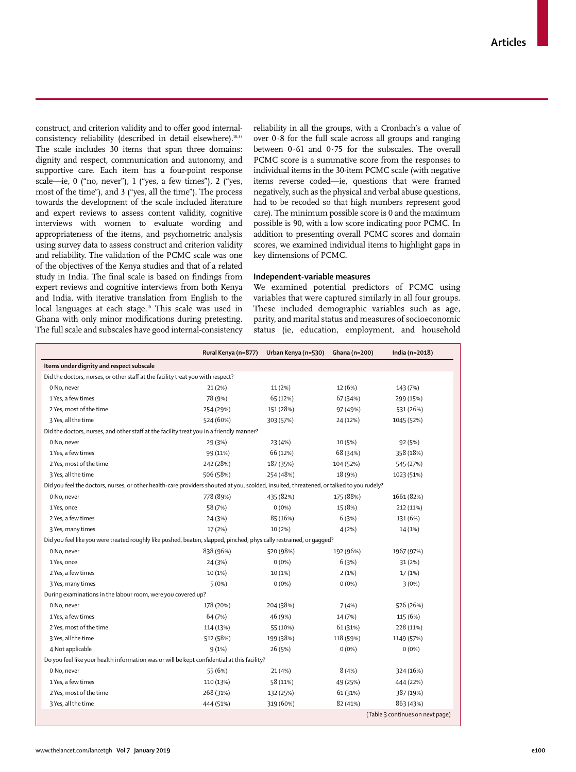construct, and criterion validity and to offer good internalconsistency reliability (described in detail elsewhere).<sup>10,33</sup> The scale includes 30 items that span three domains: dignity and respect, communication and autonomy, and supportive care. Each item has a four-point response scale—ie, 0 ("no, never"), 1 ("yes, a few times"), 2 ("yes, most of the time"), and 3 ("yes, all the time"). The process towards the development of the scale included literature and expert reviews to assess content validity, cognitive interviews with women to evaluate wording and appropriateness of the items, and psychometric analysis using survey data to assess construct and criterion validity and reliability. The validation of the PCMC scale was one of the objectives of the Kenya studies and that of a related study in India. The final scale is based on findings from expert reviews and cognitive interviews from both Kenya and India, with iterative translation from English to the local languages at each stage.<sup>10</sup> This scale was used in Ghana with only minor modifications during pretesting. The full scale and subscales have good internal-consistency reliability in all the groups, with a Cronbach's α value of over 0·8 for the full scale across all groups and ranging between 0·61 and 0·75 for the subscales. The overall PCMC score is a summative score from the responses to individual items in the 30-item PCMC scale (with negative items reverse coded—ie, questions that were framed negatively, such as the physical and verbal abuse questions, had to be recoded so that high numbers represent good care). The minimum possible score is 0 and the maximum possible is 90, with a low score indicating poor PCMC. In addition to presenting overall PCMC scores and domain scores, we examined individual items to highlight gaps in key dimensions of PCMC.

## **Independent-variable measures**

We examined potential predictors of PCMC using variables that were captured similarly in all four groups. These included demographic variables such as age, parity, and marital status and measures of socioeconomic status (ie, education, employment, and household

|                                                                                                                                          | Rural Kenya (n=877) | Urban Kenya (n=530) | Ghana (n=200) | India (n=2018)                   |
|------------------------------------------------------------------------------------------------------------------------------------------|---------------------|---------------------|---------------|----------------------------------|
| Items under dignity and respect subscale                                                                                                 |                     |                     |               |                                  |
| Did the doctors, nurses, or other staff at the facility treat you with respect?                                                          |                     |                     |               |                                  |
| 0 No, never                                                                                                                              | 21(2%)              | 11(2%)              | 12 (6%)       | 143 (7%)                         |
| 1 Yes, a few times                                                                                                                       | 78 (9%)             | 65 (12%)            | 67 (34%)      | 299 (15%)                        |
| 2 Yes, most of the time                                                                                                                  | 254 (29%)           | 151 (28%)           | 97 (49%)      | 531 (26%)                        |
| 3 Yes, all the time                                                                                                                      | 524 (60%)           | 303 (57%)           | 24 (12%)      | 1045 (52%)                       |
| Did the doctors, nurses, and other staff at the facility treat you in a friendly manner?                                                 |                     |                     |               |                                  |
| 0 No, never                                                                                                                              | 29 (3%)             | 23 (4%)             | 10 (5%)       | 92 (5%)                          |
| 1 Yes, a few times                                                                                                                       | 99 (11%)            | 66 (12%)            | 68 (34%)      | 358 (18%)                        |
| 2 Yes, most of the time                                                                                                                  | 242 (28%)           | 187 (35%)           | 104 (52%)     | 545 (27%)                        |
| 3 Yes, all the time                                                                                                                      | 506 (58%)           | 254 (48%)           | 18 (9%)       | 1023 (51%)                       |
| Did you feel the doctors, nurses, or other health-care providers shouted at you, scolded, insulted, threatened, or talked to you rudely? |                     |                     |               |                                  |
| 0 No, never                                                                                                                              | 778 (89%)           | 435 (82%)           | 175 (88%)     | 1661 (82%)                       |
| 1 Yes, once                                                                                                                              | 58 (7%)             | $0(0\%)$            | 15 (8%)       | 212 (11%)                        |
| 2 Yes, a few times                                                                                                                       | 24 (3%)             | 85 (16%)            | 6(3%)         | 131 (6%)                         |
| 3 Yes, many times                                                                                                                        | 17 (2%)             | 10(2%)              | 4(2%)         | 14 (1%)                          |
| Did you feel like you were treated roughly like pushed, beaten, slapped, pinched, physically restrained, or gagged?                      |                     |                     |               |                                  |
| 0 No, never                                                                                                                              | 838 (96%)           | 520 (98%)           | 192 (96%)     | 1967 (97%)                       |
| 1 Yes, once                                                                                                                              | 24 (3%)             | $0(0\%)$            | 6(3%)         | 31(2%)                           |
| 2 Yes, a few times                                                                                                                       | 10 (1%)             | 10 (1%)             | 2(1%)         | 17 (1%)                          |
| 3 Yes, many times                                                                                                                        | 5(0%)               | $0(0\%)$            | $0(0\%)$      | 3(0%)                            |
| During examinations in the labour room, were you covered up?                                                                             |                     |                     |               |                                  |
| 0 No, never                                                                                                                              | 178 (20%)           | 204 (38%)           | 7(4%)         | 526 (26%)                        |
| 1 Yes, a few times                                                                                                                       | 64 (7%)             | 46 (9%)             | 14 (7%)       | 115 (6%)                         |
| 2 Yes, most of the time                                                                                                                  | 114 (13%)           | 55 (10%)            | 61 (31%)      | 228 (11%)                        |
| 3 Yes, all the time                                                                                                                      | 512 (58%)           | 199 (38%)           | 118 (59%)     | 1149 (57%)                       |
| 4 Not applicable                                                                                                                         | 9(1%)               | 26 (5%)             | $0(0\%)$      | $0(0\%)$                         |
| Do you feel like your health information was or will be kept confidential at this facility?                                              |                     |                     |               |                                  |
| 0 No, never                                                                                                                              | 55 (6%)             | 21(4%)              | 8(4%)         | 324 (16%)                        |
| 1 Yes, a few times                                                                                                                       | 110 (13%)           | 58 (11%)            | 49 (25%)      | 444 (22%)                        |
| 2 Yes, most of the time                                                                                                                  | 268 (31%)           | 132 (25%)           | 61 (31%)      | 387 (19%)                        |
| 3 Yes, all the time                                                                                                                      | 444 (51%)           | 319 (60%)           | 82 (41%)      | 863 (43%)                        |
|                                                                                                                                          |                     |                     |               | (Table 3 continues on next page) |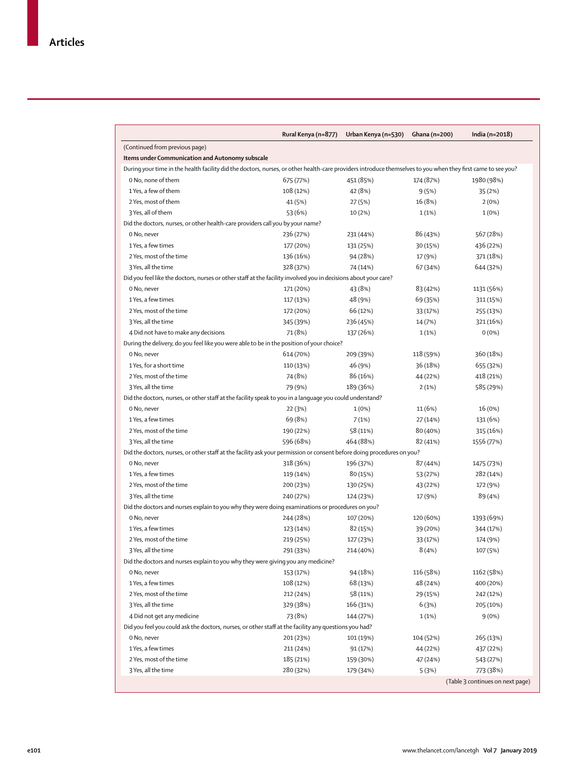|                                                                                                                                                              | Rural Kenya (n=877) | Urban Kenya (n=530) | Ghana (n=200) | India (n=2018)                   |
|--------------------------------------------------------------------------------------------------------------------------------------------------------------|---------------------|---------------------|---------------|----------------------------------|
| (Continued from previous page)                                                                                                                               |                     |                     |               |                                  |
| Items under Communication and Autonomy subscale                                                                                                              |                     |                     |               |                                  |
| During your time in the health facility did the doctors, nurses, or other health-care providers introduce themselves to you when they first came to see you? |                     |                     |               |                                  |
| 0 No, none of them                                                                                                                                           | 675 (77%)           | 451 (85%)           | 174 (87%)     | 1980 (98%)                       |
| 1 Yes, a few of them                                                                                                                                         | 108 (12%)           | 42 (8%)             | 9(5%)         | 35 (2%)                          |
| 2 Yes, most of them                                                                                                                                          | 41 (5%)             | 27 (5%)             | 16 (8%)       | 2(0%)                            |
| 3 Yes, all of them                                                                                                                                           | 53 (6%)             | 10(2%)              | 1(1%)         | 1(0%)                            |
| Did the doctors, nurses, or other health-care providers call you by your name?                                                                               |                     |                     |               |                                  |
| 0 No, never                                                                                                                                                  | 236 (27%)           | 231 (44%)           | 86 (43%)      | 567 (28%)                        |
| 1 Yes, a few times                                                                                                                                           | 177 (20%)           | 131 (25%)           | 30 (15%)      | 436 (22%)                        |
| 2 Yes, most of the time                                                                                                                                      | 136 (16%)           | 94 (28%)            | 17 (9%)       | 371 (18%)                        |
| 3 Yes, all the time                                                                                                                                          | 328 (37%)           | 74 (14%)            | 67 (34%)      | 644 (32%)                        |
| Did you feel like the doctors, nurses or other staff at the facility involved you in decisions about your care?                                              |                     |                     |               |                                  |
| 0 No, never                                                                                                                                                  | 171 (20%)           | 43 (8%)             | 83 (42%)      | 1131 (56%)                       |
| 1 Yes, a few times                                                                                                                                           | 117 (13%)           | 48 (9%)             | 69 (35%)      | 311 (15%)                        |
| 2 Yes, most of the time                                                                                                                                      | 172 (20%)           | 66 (12%)            | 33 (17%)      | 255 (13%)                        |
| 3 Yes, all the time                                                                                                                                          | 345 (39%)           | 236 (45%)           | 14 (7%)       | 321 (16%)                        |
| 4 Did not have to make any decisions                                                                                                                         | 71 (8%)             | 137 (26%)           | 1(1%)         | $0(0\%)$                         |
| During the delivery, do you feel like you were able to be in the position of your choice?                                                                    |                     |                     |               |                                  |
| 0 No, never                                                                                                                                                  | 614 (70%)           | 209 (39%)           | 118 (59%)     | 360 (18%)                        |
| 1 Yes, for a short time                                                                                                                                      | 110 (13%)           | 46 (9%)             | 36 (18%)      | 655 (32%)                        |
| 2 Yes, most of the time                                                                                                                                      | 74 (8%)             | 86 (16%)            | 44 (22%)      | 418 (21%)                        |
| 3 Yes, all the time                                                                                                                                          | 79 (9%)             | 189 (36%)           | 2(1%)         | 585 (29%)                        |
| Did the doctors, nurses, or other staff at the facility speak to you in a language you could understand?                                                     |                     |                     |               |                                  |
| 0 No, never                                                                                                                                                  | 22 (3%)             | $1(0\%)$            | 11 (6%)       | 16(0%)                           |
| 1 Yes, a few times                                                                                                                                           | 69 (8%)             | 7(1%)               | 27 (14%)      | 131 (6%)                         |
| 2 Yes, most of the time                                                                                                                                      | 190 (22%)           | 58 (11%)            | 80 (40%)      | 315 (16%)                        |
| 3 Yes, all the time                                                                                                                                          | 596 (68%)           | 464 (88%)           | 82 (41%)      | 1556 (77%)                       |
| Did the doctors, nurses, or other staff at the facility ask your permission or consent before doing procedures on you?                                       |                     |                     |               |                                  |
| 0 No, never                                                                                                                                                  | 318 (36%)           | 196 (37%)           | 87 (44%)      | 1475 (73%)                       |
| 1 Yes, a few times                                                                                                                                           | 119 (14%)           | 80 (15%)            | 53 (27%)      | 282 (14%)                        |
| 2 Yes, most of the time                                                                                                                                      | 200 (23%)           | 130 (25%)           | 43 (22%)      | 172 (9%)                         |
| 3 Yes, all the time                                                                                                                                          | 240 (27%)           | 124 (23%)           | 17 (9%)       | 89 (4%)                          |
| Did the doctors and nurses explain to you why they were doing examinations or procedures on you?                                                             |                     |                     |               |                                  |
| 0 No, never                                                                                                                                                  | 244 (28%)           | 107 (20%)           | 120 (60%)     | 1393 (69%)                       |
| 1 Yes, a few times                                                                                                                                           | 123 (14%)           | 82 (15%)            | 39 (20%)      | 344 (17%)                        |
| 2 Yes, most of the time                                                                                                                                      | 219 (25%)           | 127 (23%)           | 33 (17%)      | 174 (9%)                         |
| 3 Yes, all the time                                                                                                                                          | 291 (33%)           | 214 (40%)           | 8(4%)         | 107 (5%)                         |
| Did the doctors and nurses explain to you why they were giving you any medicine?                                                                             |                     |                     |               |                                  |
| 0 No, never                                                                                                                                                  | 153 (17%)           | 94 (18%)            | 116 (58%)     | 1162 (58%)                       |
| 1 Yes, a few times                                                                                                                                           | 108 (12%)           | 68 (13%)            | 48 (24%)      | 400 (20%)                        |
| 2 Yes, most of the time                                                                                                                                      | 212 (24%)           | 58 (11%)            | 29 (15%)      | 242 (12%)                        |
| 3 Yes, all the time                                                                                                                                          | 329 (38%)           | 166 (31%)           | 6(3%)         | 205 (10%)                        |
| 4 Did not get any medicine                                                                                                                                   | 73 (8%)             | 144 (27%)           | 1(1%)         | 9(0%)                            |
| Did you feel you could ask the doctors, nurses, or other staff at the facility any questions you had?                                                        |                     |                     |               |                                  |
| 0 No, never                                                                                                                                                  | 201 (23%)           | 101 (19%)           | 104 (52%)     | 265 (13%)                        |
| 1 Yes, a few times                                                                                                                                           | 211 (24%)           | 91 (17%)            | 44 (22%)      | 437 (22%)                        |
| 2 Yes, most of the time                                                                                                                                      | 185 (21%)           | 159 (30%)           | 47 (24%)      | 543 (27%)                        |
| 3 Yes, all the time                                                                                                                                          | 280 (32%)           | 179 (34%)           | 5(3%)         | 773 (38%)                        |
|                                                                                                                                                              |                     |                     |               | (Table 3 continues on next page) |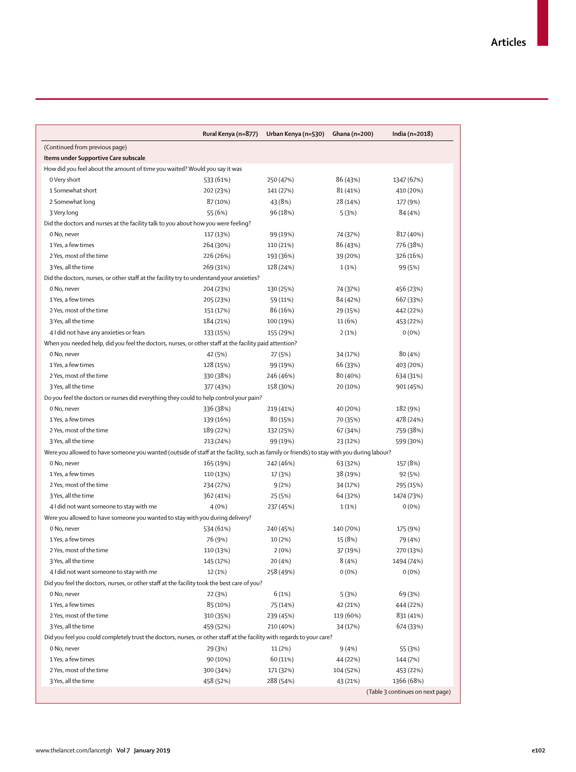|                                                                                                                                           | Rural Kenya (n=877) | Urban Kenya (n=530) | Ghana (n=200) | India (n=2018) |
|-------------------------------------------------------------------------------------------------------------------------------------------|---------------------|---------------------|---------------|----------------|
| (Continued from previous page)                                                                                                            |                     |                     |               |                |
| Items under Supportive Care subscale                                                                                                      |                     |                     |               |                |
| How did you feel about the amount of time you waited? Would you say it was                                                                |                     |                     |               |                |
| 0 Very short                                                                                                                              | 533 (61%)           | 250 (47%)           | 86 (43%)      | 1347 (67%)     |
| 1 Somewhat short                                                                                                                          | 202 (23%)           | 141 (27%)           | 81 (41%)      | 410 (20%)      |
| 2 Somewhat long                                                                                                                           | 87 (10%)            | 43 (8%)             | 28 (14%)      | 177 (9%)       |
| 3 Very long                                                                                                                               | 55 (6%)             | 96 (18%)            | 5(3%)         | 84 (4%)        |
| Did the doctors and nurses at the facility talk to you about how you were feeling?                                                        |                     |                     |               |                |
| 0 No, never                                                                                                                               | 117 (13%)           | 99 (19%)            | 74 (37%)      | 817 (40%)      |
| 1 Yes, a few times                                                                                                                        | 264 (30%)           | 110 (21%)           | 86 (43%)      | 776 (38%)      |
| 2 Yes, most of the time                                                                                                                   | 226 (26%)           | 193 (36%)           | 39 (20%)      | 326 (16%)      |
| 3 Yes, all the time                                                                                                                       | 269 (31%)           | 128 (24%)           | 1(1%)         | 99 (5%)        |
| Did the doctors, nurses, or other staff at the facility try to understand your anxieties?                                                 |                     |                     |               |                |
| 0 No, never                                                                                                                               | 204 (23%)           | 130 (25%)           | 74 (37%)      | 456 (23%)      |
| 1 Yes, a few times                                                                                                                        | 205 (23%)           | 59 (11%)            | 84 (42%)      | 667 (33%)      |
| 2 Yes, most of the time                                                                                                                   | 151 (17%)           | 86 (16%)            | 29 (15%)      | 442 (22%)      |
| 3 Yes, all the time                                                                                                                       | 184 (21%)           | 100 (19%)           | 11 (6%)       | 453 (22%)      |
| 4 I did not have any anxieties or fears                                                                                                   | 133 (15%)           | 155 (29%)           | 2(1%)         | $0(0\%)$       |
| When you needed help, did you feel the doctors, nurses, or other staff at the facility paid attention?                                    |                     |                     |               |                |
| 0 No, never                                                                                                                               | 42 (5%)             | 27 (5%)             | 34 (17%)      | 80 (4%)        |
| 1 Yes, a few times                                                                                                                        | 128 (15%)           | 99 (19%)            | 66 (33%)      | 403 (20%)      |
| 2 Yes, most of the time                                                                                                                   | 330 (38%)           | 246 (46%)           | 80 (40%)      | 634 (31%)      |
| 3 Yes, all the time                                                                                                                       | 377 (43%)           | 158 (30%)           | 20 (10%)      | 901 (45%)      |
| Do you feel the doctors or nurses did everything they could to help control your pain?                                                    |                     |                     |               |                |
| 0 No, never                                                                                                                               | 336 (38%)           | 219 (41%)           | 40 (20%)      | 182 (9%)       |
| 1 Yes, a few times                                                                                                                        | 139 (16%)           | 80 (15%)            | 70 (35%)      | 478 (24%)      |
| 2 Yes, most of the time                                                                                                                   | 189 (22%)           | 132 (25%)           | 67 (34%)      | 759 (38%)      |
| 3 Yes, all the time                                                                                                                       | 213 (24%)           | 99 (19%)            | 23 (12%)      | 599 (30%)      |
| Were you allowed to have someone you wanted (outside of staff at the facility, such as family or friends) to stay with you during labour? |                     |                     |               |                |
| 0 No, never                                                                                                                               | 165 (19%)           | 242 (46%)           | 63 (32%)      | 157 (8%)       |
| 1 Yes, a few times                                                                                                                        | 110 (13%)           | 17 (3%)             | 38 (19%)      | 92 (5%)        |
| 2 Yes, most of the time                                                                                                                   | 234 (27%)           | 9(2%)               | 34 (17%)      | 295 (15%)      |
| 3 Yes, all the time                                                                                                                       | 362 (41%)           | 25 (5%)             | 64 (32%)      | 1474 (73%)     |
| 4 I did not want someone to stay with me                                                                                                  | 4(0%)               | 237 (45%)           | 1(1%)         | $0(0\%)$       |
| Were you allowed to have someone you wanted to stay with you during delivery?                                                             |                     |                     |               |                |
| 0 No, never                                                                                                                               | 534 (61%)           | 240 (45%)           | 140 (70%)     | 175 (9%)       |
| 1 Yes, a few times                                                                                                                        | 76 (9%)             | 10 (2%)             | 15 (8%)       | 79 (4%)        |
| 2 Yes, most of the time                                                                                                                   | 110 (13%)           | 2(0%)               | 37 (19%)      | 270 (13%)      |
| 3 Yes, all the time                                                                                                                       | 145 (17%)           | 20 (4%)             | 8(4%)         | 1494 (74%)     |
| 4 I did not want someone to stay with me                                                                                                  | 12 (1%)             | 258 (49%)           | $0(0\%)$      | $0(0\%)$       |
| Did you feel the doctors, nurses, or other staff at the facility took the best care of you?                                               |                     |                     |               |                |
| 0 No, never                                                                                                                               | 22 (3%)             | 6(1%)               | 5(3%)         | 69 (3%)        |
| 1 Yes, a few times                                                                                                                        | 85 (10%)            | 75 (14%)            | 42 (21%)      | 444 (22%)      |
| 2 Yes, most of the time                                                                                                                   | 310 (35%)           | 239 (45%)           | 119 (60%)     | 831 (41%)      |
| 3 Yes, all the time                                                                                                                       | 459 (52%)           | 210 (40%)           | 34 (17%)      | 674 (33%)      |
| Did you feel you could completely trust the doctors, nurses, or other staff at the facility with regards to your care?                    |                     |                     |               |                |
| 0 No, never                                                                                                                               | 29 (3%)             | 11 (2%)             | 9(4%)         | 55 (3%)        |
| 1 Yes, a few times                                                                                                                        | 90 (10%)            | 60 (11%)            | 44 (22%)      | 144 (7%)       |
| 2 Yes, most of the time                                                                                                                   | 300 (34%)           | 171 (32%)           | 104 (52%)     | 453 (22%)      |
|                                                                                                                                           |                     |                     |               |                |
| 3 Yes, all the time                                                                                                                       | 458 (52%)           | 288 (54%)           | 43 (21%)      | 1366 (68%)     |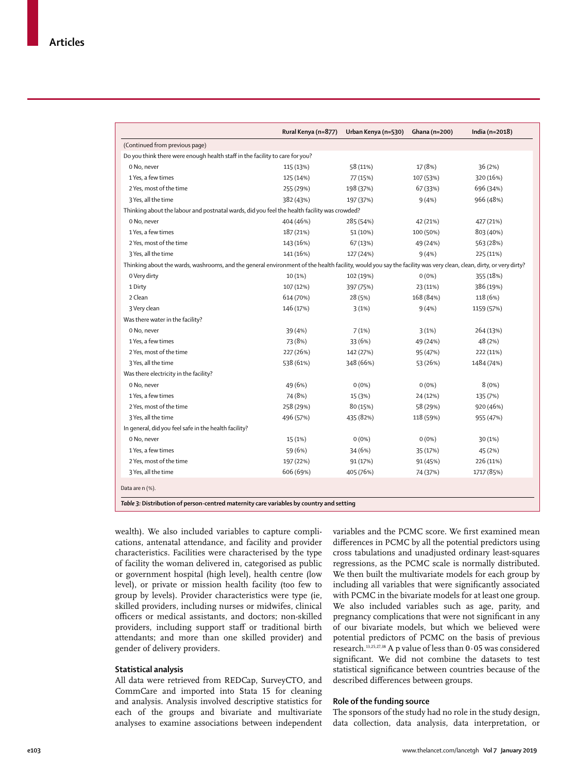|                                                                                                                                                                  | Rural Kenya (n=877) | Urban Kenya (n=530) | Ghana ( $n=200$ ) | India (n=2018) |
|------------------------------------------------------------------------------------------------------------------------------------------------------------------|---------------------|---------------------|-------------------|----------------|
| (Continued from previous page)                                                                                                                                   |                     |                     |                   |                |
| Do you think there were enough health staff in the facility to care for you?                                                                                     |                     |                     |                   |                |
| 0 No, never                                                                                                                                                      | 115 (13%)           | 58 (11%)            | 17 (8%)           | 36(2%)         |
| 1 Yes, a few times                                                                                                                                               | 125 (14%)           | 77 (15%)            | 107 (53%)         | 320 (16%)      |
| 2 Yes, most of the time                                                                                                                                          | 255 (29%)           | 198 (37%)           | 67 (33%)          | 696 (34%)      |
| 3 Yes, all the time                                                                                                                                              | 382 (43%)           | 197 (37%)           | 9(4%)             | 966 (48%)      |
| Thinking about the labour and postnatal wards, did you feel the health facility was crowded?                                                                     |                     |                     |                   |                |
| 0 No. never                                                                                                                                                      | 404 (46%)           | 285 (54%)           | 42 (21%)          | 427 (21%)      |
| 1 Yes, a few times                                                                                                                                               | 187 (21%)           | 51 (10%)            | 100 (50%)         | 803 (40%)      |
| 2 Yes, most of the time                                                                                                                                          | 143 (16%)           | 67 (13%)            | 49 (24%)          | 563 (28%)      |
| 3 Yes, all the time                                                                                                                                              | 141 (16%)           | 127 (24%)           | 9(4%)             | 225 (11%)      |
| Thinking about the wards, washrooms, and the general environment of the health facility, would you say the facility was very clean, clean, dirty, or very dirty? |                     |                     |                   |                |
| 0 Very dirty                                                                                                                                                     | 10 (1%)             | 102 (19%)           | $0(0\%)$          | 355 (18%)      |
| 1 Dirty                                                                                                                                                          | 107 (12%)           | 397 (75%)           | 23 (11%)          | 386 (19%)      |
| 2 Clean                                                                                                                                                          | 614 (70%)           | 28 (5%)             | 168 (84%)         | 118 (6%)       |
| 3 Very clean                                                                                                                                                     | 146 (17%)           | 3(1%)               | 9(4%)             | 1159 (57%)     |
| Was there water in the facility?                                                                                                                                 |                     |                     |                   |                |
| 0 No. never                                                                                                                                                      | 39 (4%)             | 7(1%)               | 3(1%)             | 264 (13%)      |
| 1 Yes, a few times                                                                                                                                               | 73 (8%)             | 33 (6%)             | 49 (24%)          | 48 (2%)        |
| 2 Yes, most of the time                                                                                                                                          | 227 (26%)           | 142 (27%)           | 95 (47%)          | 222 (11%)      |
| 3 Yes, all the time                                                                                                                                              | 538 (61%)           | 348 (66%)           | 53 (26%)          | 1484 (74%)     |
| Was there electricity in the facility?                                                                                                                           |                     |                     |                   |                |
| 0 No, never                                                                                                                                                      | 49 (6%)             | $0(0\%)$            | $0(0\%)$          | 8(0%)          |
| 1 Yes, a few times                                                                                                                                               | 74 (8%)             | 15 (3%)             | 24 (12%)          | 135 (7%)       |
| 2 Yes, most of the time                                                                                                                                          | 258 (29%)           | 80 (15%)            | 58 (29%)          | 920 (46%)      |
| 3 Yes, all the time                                                                                                                                              | 496 (57%)           | 435 (82%)           | 118 (59%)         | 955 (47%)      |
| In general, did you feel safe in the health facility?                                                                                                            |                     |                     |                   |                |
| 0 No, never                                                                                                                                                      | 15 (1%)             | $0(0\%)$            | $0(0\%)$          | 30(1%)         |
| 1 Yes, a few times                                                                                                                                               | 59 (6%)             | 34 (6%)             | 35 (17%)          | 45 (2%)        |
| 2 Yes, most of the time                                                                                                                                          | 197 (22%)           | 91 (17%)            | 91 (45%)          | 226 (11%)      |
| 3 Yes, all the time                                                                                                                                              | 606 (69%)           | 405 (76%)           | 74 (37%)          | 1717 (85%)     |
| Data are n (%).                                                                                                                                                  |                     |                     |                   |                |

wealth). We also included variables to capture complications, antenatal attendance, and facility and provider characteristics. Facilities were characterised by the type of facility the woman delivered in, categorised as public or government hospital (high level), health centre (low level), or private or mission health facility (too few to group by levels). Provider characteristics were type (ie, skilled providers, including nurses or midwifes, clinical officers or medical assistants, and doctors; non-skilled providers, including support staff or traditional birth attendants; and more than one skilled provider) and gender of delivery providers.

## **Statistical analysis**

All data were retrieved from REDCap, SurveyCTO, and CommCare and imported into Stata 15 for cleaning and analysis. Analysis involved descriptive statistics for each of the groups and bivariate and multivariate analyses to examine associations between independent variables and the PCMC score. We first examined mean differences in PCMC by all the potential predictors using cross tabulations and unadjusted ordinary least-squares regressions, as the PCMC scale is normally distributed. We then built the multivariate models for each group by including all variables that were significantly associated with PCMC in the bivariate models for at least one group. We also included variables such as age, parity, and pregnancy complications that were not significant in any of our bivariate models, but which we believed were potential predictors of PCMC on the basis of previous research.<sup>13,25,27,38</sup> A p value of less than  $0.05$  was considered significant. We did not combine the datasets to test statistical significance between countries because of the described differences between groups.

## **Role of the funding source**

The sponsors of the study had no role in the study design, data collection, data analysis, data interpretation, or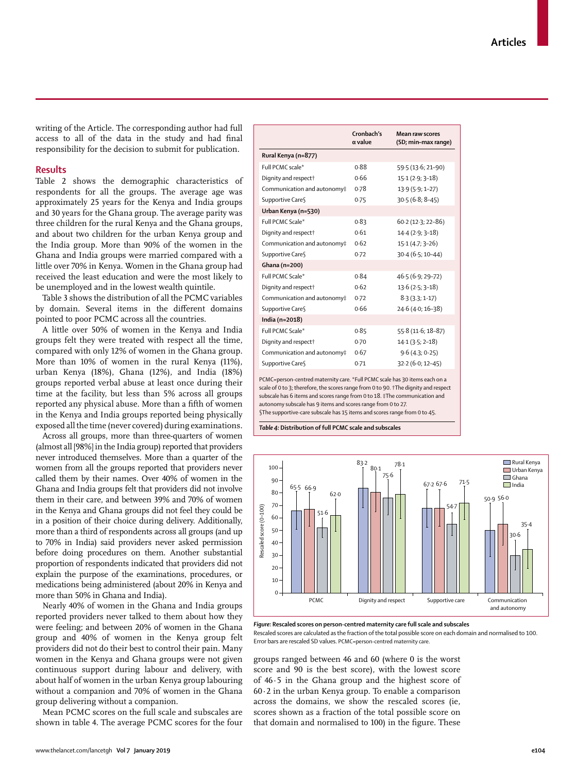writing of the Article. The corresponding author had full access to all of the data in the study and had final responsibility for the decision to submit for publication.

## **Results**

Table 2 shows the demographic characteristics of respondents for all the groups. The average age was approximately 25 years for the Kenya and India groups and 30 years for the Ghana group. The average parity was three children for the rural Kenya and the Ghana groups, and about two children for the urban Kenya group and the India group. More than 90% of the women in the Ghana and India groups were married compared with a little over 70% in Kenya. Women in the Ghana group had received the least education and were the most likely to be unemployed and in the lowest wealth quintile.

Table 3 shows the distribution of all the PCMC variables by domain. Several items in the different domains pointed to poor PCMC across all the countries.

A little over 50% of women in the Kenya and India groups felt they were treated with respect all the time, compared with only 12% of women in the Ghana group. More than 10% of women in the rural Kenya (11%), urban Kenya (18%), Ghana (12%), and India (18%) groups reported verbal abuse at least once during their time at the facility, but less than 5% across all groups reported any physical abuse. More than a fifth of women in the Kenya and India groups reported being physically exposed all the time (never covered) during examinations.

Across all groups, more than three-quarters of women (almost all [98%] in the India group) reported that providers never introduced themselves. More than a quarter of the women from all the groups reported that providers never called them by their names. Over 40% of women in the Ghana and India groups felt that providers did not involve them in their care, and between 39% and 70% of women in the Kenya and Ghana groups did not feel they could be in a position of their choice during delivery. Additionally, more than a third of respondents across all groups (and up to 70% in India) said providers never asked permission before doing procedures on them. Another substantial proportion of respondents indicated that providers did not explain the purpose of the examinations, procedures, or medications being administered (about 20% in Kenya and more than 50% in Ghana and India).

Nearly 40% of women in the Ghana and India groups reported providers never talked to them about how they were feeling; and between 20% of women in the Ghana group and 40% of women in the Kenya group felt providers did not do their best to control their pain. Many women in the Kenya and Ghana groups were not given continuous support during labour and delivery, with about half of women in the urban Kenya group labouring without a companion and 70% of women in the Ghana group delivering without a companion.

Mean PCMC scores on the full scale and subscales are shown in table 4. The average PCMC scores for the four

|                                  | Cronbach's<br>α value | Mean raw scores<br>(SD; min-max range) |
|----------------------------------|-----------------------|----------------------------------------|
| Rural Kenya (n=877)              |                       |                                        |
| Full PCMC scale*                 | 0.88                  | 59.5 (13.6; 21-90)                     |
| Dignity and respect <sup>+</sup> | 0.66                  | $15.1(2.9; 3-18)$                      |
| Communication and autonomy#      | 0.78                  | 13.9 (5.9; 1-27)                       |
| Supportive Care§                 | 0.75                  | $30.5(6.8; 8-45)$                      |
| Urban Kenya (n=530)              |                       |                                        |
| Full PCMC Scale*                 | 0.83                  | 60.2 (12.3; 22-86)                     |
| Dignity and respect <sup>+</sup> | 0.61                  | $14.4(2.9; 3-18)$                      |
| Communication and autonomy#      | 0.62                  | $15.1(4.7; 3-26)$                      |
| Supportive Care                  | 0.72                  | $30.4(6.5; 10-44)$                     |
| Ghana (n=200)                    |                       |                                        |
| Full PCMC Scale*                 | 0.84                  | 46.5 (6.9; 29-72)                      |
| Dignity and respect <sup>+</sup> | 0.62                  | $13.6(2.5; 3-18)$                      |
| Communication and autonomy#      | 0.72                  | $8-3(3.3; 1-17)$                       |
| Supportive Care§                 | 0.66                  | $24.6(4.0; 16-38)$                     |
| India (n=2018)                   |                       |                                        |
| Full PCMC Scale*                 | 0.85                  | 55.8 (11.6; 18-87)                     |
| Dignity and respect <sup>+</sup> | 0.70                  | $14.1(3.5; 2-18)$                      |
| Communication and autonomy‡      | 0.67                  | 9.6(4.3; 0.25)                         |
| Supportive Care                  | 0.71                  | $32.2(6.0; 12-45)$                     |

PCMC=person-centred maternity care. \*Full PCMC scale has 30 items each on a scale of 0 to 3; therefore, the scores range from 0 to 90. †The dignity and respect subscale has 6 items and scores range from 0 to 18. ‡The communication and autonomy subscale has 9 items and scores range from 0 to 27. §The supportive-care subscale has 15 items and scores range from 0 to 45.

*Table 4:* **Distribution of full PCMC scale and subscales**



*Figure:* **Rescaled scores on person-centred maternity care full scale and subscales** Rescaled scores are calculated as the fraction of the total possible score on each domain and normalised to 100. Error bars are rescaled SD values. PCMC=person-centred maternity care.

groups ranged between 46 and 60 (where 0 is the worst score and 90 is the best score), with the lowest score of 46·5 in the Ghana group and the highest score of 60·2 in the urban Kenya group. To enable a comparison across the domains, we show the rescaled scores (ie, scores shown as a fraction of the total possible score on that domain and normalised to 100) in the figure. These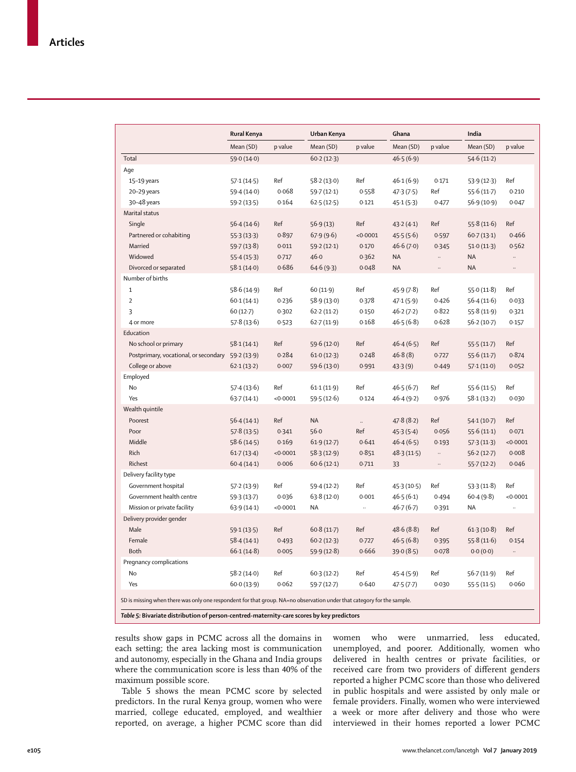|                                                                                                                        | Rural Kenya |          | Urban Kenya  |                      | Ghana       |           | India       |          |
|------------------------------------------------------------------------------------------------------------------------|-------------|----------|--------------|----------------------|-------------|-----------|-------------|----------|
|                                                                                                                        | Mean (SD)   | p value  | Mean (SD)    | p value              | Mean (SD)   | p value   | Mean (SD)   | p value  |
| Total                                                                                                                  | 59.0(14.0)  |          | 60.2(12.3)   |                      | 46.5(6.9)   |           | 54.6(11.2)  |          |
| Age                                                                                                                    |             |          |              |                      |             |           |             |          |
| 15-19 years                                                                                                            | 57.1(14.5)  | Ref      | 58.2(13.0)   | Ref                  | 46.1(6.9)   | 0.171     | 53.9(12.3)  | Ref      |
| 20-29 years                                                                                                            | 59.4(14.0)  | 0.068    | 59.7(12.1)   | 0.558                | 47.3(7.5)   | Ref       | 55.6(11.7)  | 0.210    |
| 30-48 years                                                                                                            | 59.2(13.5)  | 0.164    | 62.5(12.5)   | 0.121                | 45.1(5.3)   | 0.477     | 56.9 (10.9) | 0.047    |
| Marital status                                                                                                         |             |          |              |                      |             |           |             |          |
| Single                                                                                                                 | 56.4(14.6)  | Ref      | 56.9(13)     | Ref                  | 43.2(4.1)   | Ref       | 55.8(11.6)  | Ref      |
| Partnered or cohabiting                                                                                                | 55.3(13.3)  | 0.897    | 67.9(9.6)    | < 0.0001             | 45.5(5.6)   | 0.597     | 60.7(13.1)  | 0.466    |
| Married                                                                                                                | 59.7(13.8)  | 0.011    | 59.2(12.1)   | 0.170                | 46.6(7.0)   | 0.345     | 51.0(11.3)  | 0.562    |
| Widowed                                                                                                                | 55.4(15.3)  | 0.717    | 46.0         | 0.362                | <b>NA</b>   | $\ddotsc$ | <b>NA</b>   |          |
| Divorced or separated                                                                                                  | 58.1(14.0)  | 0.686    | 64.6(9.3)    | 0.048                | <b>NA</b>   | $\ldots$  | <b>NA</b>   |          |
| Number of births                                                                                                       |             |          |              |                      |             |           |             |          |
| $\mathbf 1$                                                                                                            | 58.6(14.9)  | Ref      | 60(11.9)     | Ref                  | 45.9(7.8)   | Ref       | 55.0(11.8)  | Ref      |
| $\overline{2}$                                                                                                         | 60.1(14.1)  | 0.236    | 58.9 (13.0)  | 0.378                | 47.1(5.9)   | 0.426     | 56.4(11.6)  | 0.033    |
| 3                                                                                                                      | 60(12.7)    | 0.302    | 62.2(11.2)   | 0.150                | 46.2(7.2)   | 0.822     | 55.8(11.9)  | 0.321    |
| 4 or more                                                                                                              | 57.8(13.6)  | 0.523    | 62.7(11.9)   | 0.168                | 46.5(6.8)   | 0.628     | 56.2(10.7)  | 0.157    |
| Education                                                                                                              |             |          |              |                      |             |           |             |          |
| No school or primary                                                                                                   | 58.1(14.1)  | Ref      | 59.6(12.0)   | Ref                  | 46.4(6.5)   | Ref       | 55.5(11.7)  | Ref      |
| Postprimary, vocational, or secondary 59.2 (13.9)                                                                      |             | 0.284    | 61.0(12.3)   | 0.248                | 46.8(8)     | 0.727     | 55.6(11.7)  | 0.874    |
| College or above                                                                                                       | 62.1(13.2)  | 0.007    | 59.6(13.0)   | 0.991                | 43.3(9)     | 0.449     | 57.1(11.0)  | 0.052    |
| Employed                                                                                                               |             |          |              |                      |             |           |             |          |
| No                                                                                                                     | 57.4(13.6)  | Ref      | 61.1(11.9)   | Ref                  | 46.5(6.7)   | Ref       | 55.6(11.5)  | Ref      |
| Yes                                                                                                                    | 63.7(14.1)  | < 0.0001 | 59.5(12.6)   | 0.124                | 46.4(9.2)   | 0.976     | 58.1(13.2)  | 0.030    |
| Wealth quintile                                                                                                        |             |          |              |                      |             |           |             |          |
| Poorest                                                                                                                | 56.4(14.1)  | Ref      | <b>NA</b>    | $\ldots$             | 47.8(8.2)   | Ref       | 54.1(10.7)  | Ref      |
| Poor                                                                                                                   | 57.8(13.5)  | 0.341    | 56.0         | Ref                  | 45.3(5.4)   | 0.056     | 55.6(11.1)  | 0.071    |
| Middle                                                                                                                 | 58.6(14.5)  | 0.169    | 61.9(12.7)   | 0.641                | 46.4(6.5)   | 0.193     | 57.3(11.3)  | < 0.0001 |
| Rich                                                                                                                   | 61.7(13.4)  | < 0.0001 | 58.3(12.9)   | 0.851                | 48.3(11.5)  | $\ldots$  | 56.2(12.7)  | 0.008    |
| Richest                                                                                                                | 60.4(14.1)  | 0.006    | 60.6(12.1)   | 0.711                | 33          | $\ldots$  | 55.7(12.2)  | 0.046    |
| Delivery facility type                                                                                                 |             |          |              |                      |             |           |             |          |
| Government hospital                                                                                                    | 57.2(13.9)  | Ref      | 59.4(12.2)   | Ref                  | 45.3 (10.5) | Ref       | 53.3(11.8)  | Ref      |
| Government health centre                                                                                               | 59.3(13.7)  | 0.036    | 63.8(12.0)   | 0.001                | 46.5(6.1)   | 0.494     | 60.4(9.8)   | < 0.0001 |
| Mission or private facility                                                                                            | 63.9(14.1)  | < 0.0001 | <b>NA</b>    | $\ddot{\phantom{a}}$ | 46.7(6.7)   | 0.391     | <b>NA</b>   | Ŀ,       |
| Delivery provider gender                                                                                               |             |          |              |                      |             |           |             |          |
| Male                                                                                                                   | 59.1(13.5)  | Ref      | 60.8(11.7)   | Ref                  | 48.6(8.8)   | Ref       | 61.3(10.8)  | Ref      |
| Female                                                                                                                 | 58.4(14.1)  | 0.493    | 60.2(12.3)   | 0.727                | 46.5(6.8)   | 0.395     | 55.8(11.6)  | 0.154    |
| Both                                                                                                                   | 66.1(14.8)  | 0.005    | 59.9 (12.8)  | 0.666                | 39.0(8.5)   | 0.078     | 0.0(0.0)    |          |
| Pregnancy complications                                                                                                |             |          |              |                      |             |           |             |          |
| No                                                                                                                     | 58.2(14.0)  | Ref      | $60-3(12-2)$ | Ref                  | 45.4(5.9)   | Ref       | 56.7(11.9)  | Ref      |
| Yes                                                                                                                    | 60.0(13.9)  | 0.062    | 59.7 (12.7)  | 0.640                | 47.5(7.7)   | 0.030     | 55.5(11.5)  | 0.060    |
|                                                                                                                        |             |          |              |                      |             |           |             |          |
| SD is missing when there was only one respondent for that group. NA=no observation under that category for the sample. |             |          |              |                      |             |           |             |          |

*Table 5:* **Bivariate distribution of person-centred-maternity-care scores by key predictors**

results show gaps in PCMC across all the domains in each setting; the area lacking most is communication and autonomy, especially in the Ghana and India groups where the communication score is less than 40% of the maximum possible score.

Table 5 shows the mean PCMC score by selected predictors. In the rural Kenya group, women who were married, college educated, employed, and wealthier reported, on average, a higher PCMC score than did women who were unmarried, less educated, unemployed, and poorer. Additionally, women who delivered in health centres or private facilities, or received care from two providers of different genders reported a higher PCMC score than those who delivered in public hospitals and were assisted by only male or female providers. Finally, women who were interviewed a week or more after delivery and those who were interviewed in their homes reported a lower PCMC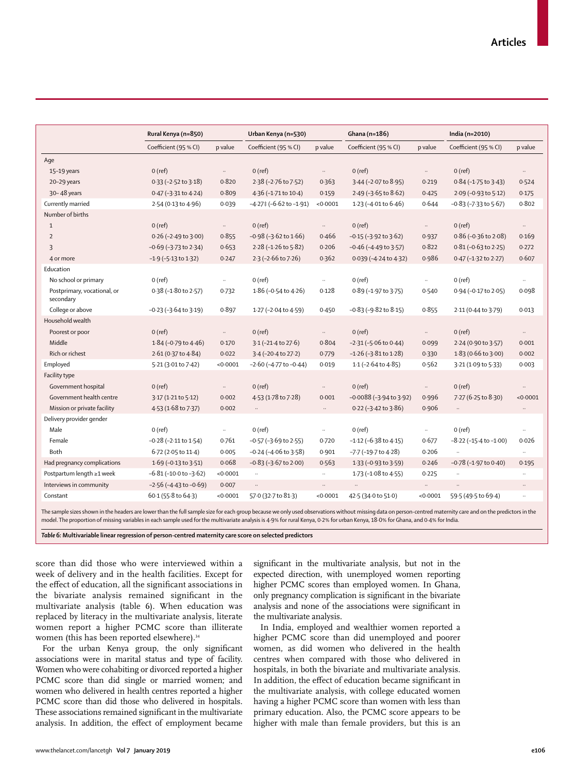| Coefficient (95 % CI)<br>p value<br>Coefficient (95 % CI)<br>p value<br>Coefficient (95 % CI)<br>p value<br>Coefficient (95 % CI)<br>p value<br>Age<br>$0$ (ref)<br>$0$ (ref)<br>$0$ (ref)<br>$0$ (ref)<br>$15-19$ years<br>$\ldots$<br>$\ddots$<br>$\ddots$<br>$\ldots$<br>0.820<br>2.38 (-2.76 to 7.52)<br>$0.84 (-1.75 to 3.43)$<br>20-29 years<br>$0.33$ (-2.52 to 3.18)<br>0.363<br>$3.44$ (-2.07 to 8.95)<br>0.219<br>0.524<br>30-48 years<br>0.809<br>4.36 (-1.71 to 10.4)<br>$2.49$ (-3.65 to 8.62)<br>2.09 (-0.93 to 5.12)<br>$0.47$ (-3.31 to 4.24)<br>0.159<br>0.425<br>0.175<br>Currently married<br>$-4.27\pm(-6.62$ to $-1.91$ )<br>1.23 (-4.01 to 6.46)<br>0.644<br>$-0.83$ (-7.33 to 5.67)<br>0.802<br>2.54 (0.13 to 4.96)<br>0.039<br>< 0.0001<br>Number of births<br>$0$ (ref)<br>$0$ (ref)<br>$0$ (ref)<br>$0$ (ref)<br>$\mathbf{1}$<br>$\ldots$<br>$\ldots$<br>$\ldots$<br>$\cdots$<br>0.855<br>$-0.98$ ( $-3.62$ to $1.66$ )<br>$-0.15$ ( $-3.92$ to $3.62$ )<br>0.86 (-0.36 to 2.08)<br>$\overline{2}$<br>$0.26$ (-2.49 to 3.00)<br>0.466<br>0.937<br>0.169<br>0.822<br>0.653<br>2.28 (-1.26 to 5.82)<br>$-0.46$ ( $-4.49$ to 3.57)<br>$0.81 (-0.63 to 2.25)$<br>3<br>$-0.69$ ( $-3.73$ to 2.34)<br>0.206<br>0.272<br>$2.3$ (-2.66 to 7.26)<br>0.986<br>0.47 (-1.32 to 2.27)<br>0.607<br>$-1.9$ ( $-5.13$ to $1.32$ )<br>0.247<br>0.362<br>0.039 (-4.24 to 4.32)<br>4 or more<br>Education<br>No school or primary<br>$0$ (ref)<br>$0$ (ref)<br>$0$ (ref)<br>$0$ (ref)<br>$\ldots$<br>$\ddot{\phantom{a}}$<br>$\ldots$<br>$\cdots$<br>Postprimary, vocational, or<br>$0.38$ ( $-1.80$ to $2.57$ )<br>0.732<br>1.86 ( $-0.54$ to $4.26$ )<br>0.89 (-1.97 to 3.75)<br>0.540<br>0.128<br>0.94 (-0.17 to 2.05)<br>0.098<br>secondary<br>College or above<br>$-0.23$ ( $-3.64$ to $3.19$ )<br>0.897<br>$-0.83$ ( $-9.82$ to $8.15$ )<br>0.855<br>1.27 ( $-2.04$ to $4.59$ )<br>0.450<br>2.11 (0.44 to 3.79)<br>0.013<br>Household wealth<br>$0$ (ref)<br>$0$ (ref)<br>$0$ (ref)<br>$0$ (ref)<br>Poorest or poor<br>$\ldots$<br>$\ldots$<br>$\ldots$<br>$\ldots$<br>Middle<br>1.84 ( $-0.79$ to $4.46$ )<br>0.170<br>$3.1$ (-21 $\cdot$ 4 to 27 $\cdot$ 6)<br>0.804<br>$-2.31 (-5.06 to 0.44)$<br>0.099<br>0.001<br>2.24 (0.90 to 3.57)<br>Rich or richest<br>2.61 (0.37 to 4.84)<br>$-1.26$ ( $-3.81$ to $1.28$ )<br>1.83 (0.66 to 3.00)<br>0.022<br>3.4 (-20.4 to 27.2)<br>0.779<br>0.330<br>0.002<br>Employed<br>5.21 (3.01 to 7.42)<br>< 0.0001<br>$-2.60$ ( $-4.77$ to $-0.44$ )<br>$1.1$ (-2.64 to 4.85)<br>0.562<br>3.21 (1.09 to 5.33)<br>0.019<br>0.003<br>Facility type<br>Government hospital<br>$0$ (ref)<br>$0$ (ref)<br>$0$ (ref)<br>$0$ (ref)<br>$\ldots$<br>$\cdots$<br>$\cdots$<br>$\ldots$<br>Government health centre<br>4.53 (1.78 to 7.28)<br>-0.0088 (-3.94 to 3.92)<br>3.17 (1.21 to 5.12)<br>0.002<br>0.001<br>0.996<br>7.27 (6.25 to 8.30)<br>< 0.0001<br>Mission or private facility<br>4.53 (1.68 to 7.37)<br>0.002<br>$0.22$ (-3.42 to 3.86)<br>0.906<br>$\ldots$<br>$\ldots$<br>$\ldots$<br>$\ldots$<br>Delivery provider gender<br>Male<br>$0$ (ref)<br>$0$ (ref)<br>0(ref)<br>$0$ (ref)<br>$\mathcal{L}_{\mathcal{A}}$<br>$\ldots$<br>$\ldots$<br>$\ldots$<br>0.761<br>0.677<br>Female<br>$-0.28$ ( $-2.11$ to $1.54$ )<br>$-0.57$ ( $-3.69$ to 2.55)<br>0.720<br>$-1.12$ ( $-6.38$ to $4.15$ )<br>$-8.22$ ( $-15.4$ to $-1.00$ )<br>0.026<br>$-0.24$ ( $-4.06$ to 3.58)<br>0.206<br>Both<br>6.72 (2.05 to 11.4)<br>0.005<br>$-7.7$ ( $-19.7$ to $4.28$ )<br>0.901<br>$\ddotsc$<br>$\ldots$<br>Had pregnancy complications<br>0.068<br>$-0.83$ ( $-3.67$ to 2.00)<br>1.33 (-0.93 to 3.59)<br>0.246<br>$-0.78$ ( $-1.97$ to $0.40$ )<br>$1.69$ (-0.13 to 3.51)<br>0.563<br>0.195<br>Postpartum length ≥1 week<br>$1.73$ (-1.08 to 4.55)<br>-6.81 (-10.0 to -3.62)<br>< 0.0001<br>0.225<br>$\ldots$<br>$\ldots$<br>$\ldots$<br>$\ldots$<br>Interviews in community<br>$-2.56$ ( $-4.43$ to $-0.69$ )<br>0.007<br>$\ldots$<br>$\ddotsc$<br>$\ldots$<br>$\ldots$<br>$\ldots$<br>$\ldots$<br>60.1 (55.8 to 64.3)<br>< 0.0001<br>57.0 (32.7 to 81.3)<br>< 0.0001<br>59.5 (49.5 to 69.4)<br>Constant<br>< 0.0001<br>42.5 (34.0 to 51.0)<br>$\ldots$ | Rural Kenya (n=850) |  | Urban Kenya (n=530) | Ghana (n=186) |  |  |  |
|---------------------------------------------------------------------------------------------------------------------------------------------------------------------------------------------------------------------------------------------------------------------------------------------------------------------------------------------------------------------------------------------------------------------------------------------------------------------------------------------------------------------------------------------------------------------------------------------------------------------------------------------------------------------------------------------------------------------------------------------------------------------------------------------------------------------------------------------------------------------------------------------------------------------------------------------------------------------------------------------------------------------------------------------------------------------------------------------------------------------------------------------------------------------------------------------------------------------------------------------------------------------------------------------------------------------------------------------------------------------------------------------------------------------------------------------------------------------------------------------------------------------------------------------------------------------------------------------------------------------------------------------------------------------------------------------------------------------------------------------------------------------------------------------------------------------------------------------------------------------------------------------------------------------------------------------------------------------------------------------------------------------------------------------------------------------------------------------------------------------------------------------------------------------------------------------------------------------------------------------------------------------------------------------------------------------------------------------------------------------------------------------------------------------------------------------------------------------------------------------------------------------------------------------------------------------------------------------------------------------------------------------------------------------------------------------------------------------------------------------------------------------------------------------------------------------------------------------------------------------------------------------------------------------------------------------------------------------------------------------------------------------------------------------------------------------------------------------------------------------------------------------------------------------------------------------------------------------------------------------------------------------------------------------------------------------------------------------------------------------------------------------------------------------------------------------------------------------------------------------------------------------------------------------------------------------------------------------------------------------------------------------------------------------------------------------------------------------------------------------------------------------------------------------------------------------------------------------------------------------------------------------------------------------------------------------------------------------------------------------------------------------------------------------------------------------------------------------------------------------------------------------------------------------------------------------|---------------------|--|---------------------|---------------|--|--|--|
|                                                                                                                                                                                                                                                                                                                                                                                                                                                                                                                                                                                                                                                                                                                                                                                                                                                                                                                                                                                                                                                                                                                                                                                                                                                                                                                                                                                                                                                                                                                                                                                                                                                                                                                                                                                                                                                                                                                                                                                                                                                                                                                                                                                                                                                                                                                                                                                                                                                                                                                                                                                                                                                                                                                                                                                                                                                                                                                                                                                                                                                                                                                                                                                                                                                                                                                                                                                                                                                                                                                                                                                                                                                                                                                                                                                                                                                                                                                                                                                                                                                                                                                                                                                             |                     |  |                     |               |  |  |  |
|                                                                                                                                                                                                                                                                                                                                                                                                                                                                                                                                                                                                                                                                                                                                                                                                                                                                                                                                                                                                                                                                                                                                                                                                                                                                                                                                                                                                                                                                                                                                                                                                                                                                                                                                                                                                                                                                                                                                                                                                                                                                                                                                                                                                                                                                                                                                                                                                                                                                                                                                                                                                                                                                                                                                                                                                                                                                                                                                                                                                                                                                                                                                                                                                                                                                                                                                                                                                                                                                                                                                                                                                                                                                                                                                                                                                                                                                                                                                                                                                                                                                                                                                                                                             |                     |  |                     |               |  |  |  |
|                                                                                                                                                                                                                                                                                                                                                                                                                                                                                                                                                                                                                                                                                                                                                                                                                                                                                                                                                                                                                                                                                                                                                                                                                                                                                                                                                                                                                                                                                                                                                                                                                                                                                                                                                                                                                                                                                                                                                                                                                                                                                                                                                                                                                                                                                                                                                                                                                                                                                                                                                                                                                                                                                                                                                                                                                                                                                                                                                                                                                                                                                                                                                                                                                                                                                                                                                                                                                                                                                                                                                                                                                                                                                                                                                                                                                                                                                                                                                                                                                                                                                                                                                                                             |                     |  |                     |               |  |  |  |
|                                                                                                                                                                                                                                                                                                                                                                                                                                                                                                                                                                                                                                                                                                                                                                                                                                                                                                                                                                                                                                                                                                                                                                                                                                                                                                                                                                                                                                                                                                                                                                                                                                                                                                                                                                                                                                                                                                                                                                                                                                                                                                                                                                                                                                                                                                                                                                                                                                                                                                                                                                                                                                                                                                                                                                                                                                                                                                                                                                                                                                                                                                                                                                                                                                                                                                                                                                                                                                                                                                                                                                                                                                                                                                                                                                                                                                                                                                                                                                                                                                                                                                                                                                                             |                     |  |                     |               |  |  |  |
|                                                                                                                                                                                                                                                                                                                                                                                                                                                                                                                                                                                                                                                                                                                                                                                                                                                                                                                                                                                                                                                                                                                                                                                                                                                                                                                                                                                                                                                                                                                                                                                                                                                                                                                                                                                                                                                                                                                                                                                                                                                                                                                                                                                                                                                                                                                                                                                                                                                                                                                                                                                                                                                                                                                                                                                                                                                                                                                                                                                                                                                                                                                                                                                                                                                                                                                                                                                                                                                                                                                                                                                                                                                                                                                                                                                                                                                                                                                                                                                                                                                                                                                                                                                             |                     |  |                     |               |  |  |  |
|                                                                                                                                                                                                                                                                                                                                                                                                                                                                                                                                                                                                                                                                                                                                                                                                                                                                                                                                                                                                                                                                                                                                                                                                                                                                                                                                                                                                                                                                                                                                                                                                                                                                                                                                                                                                                                                                                                                                                                                                                                                                                                                                                                                                                                                                                                                                                                                                                                                                                                                                                                                                                                                                                                                                                                                                                                                                                                                                                                                                                                                                                                                                                                                                                                                                                                                                                                                                                                                                                                                                                                                                                                                                                                                                                                                                                                                                                                                                                                                                                                                                                                                                                                                             |                     |  |                     |               |  |  |  |
|                                                                                                                                                                                                                                                                                                                                                                                                                                                                                                                                                                                                                                                                                                                                                                                                                                                                                                                                                                                                                                                                                                                                                                                                                                                                                                                                                                                                                                                                                                                                                                                                                                                                                                                                                                                                                                                                                                                                                                                                                                                                                                                                                                                                                                                                                                                                                                                                                                                                                                                                                                                                                                                                                                                                                                                                                                                                                                                                                                                                                                                                                                                                                                                                                                                                                                                                                                                                                                                                                                                                                                                                                                                                                                                                                                                                                                                                                                                                                                                                                                                                                                                                                                                             |                     |  |                     |               |  |  |  |
|                                                                                                                                                                                                                                                                                                                                                                                                                                                                                                                                                                                                                                                                                                                                                                                                                                                                                                                                                                                                                                                                                                                                                                                                                                                                                                                                                                                                                                                                                                                                                                                                                                                                                                                                                                                                                                                                                                                                                                                                                                                                                                                                                                                                                                                                                                                                                                                                                                                                                                                                                                                                                                                                                                                                                                                                                                                                                                                                                                                                                                                                                                                                                                                                                                                                                                                                                                                                                                                                                                                                                                                                                                                                                                                                                                                                                                                                                                                                                                                                                                                                                                                                                                                             |                     |  |                     |               |  |  |  |
|                                                                                                                                                                                                                                                                                                                                                                                                                                                                                                                                                                                                                                                                                                                                                                                                                                                                                                                                                                                                                                                                                                                                                                                                                                                                                                                                                                                                                                                                                                                                                                                                                                                                                                                                                                                                                                                                                                                                                                                                                                                                                                                                                                                                                                                                                                                                                                                                                                                                                                                                                                                                                                                                                                                                                                                                                                                                                                                                                                                                                                                                                                                                                                                                                                                                                                                                                                                                                                                                                                                                                                                                                                                                                                                                                                                                                                                                                                                                                                                                                                                                                                                                                                                             |                     |  |                     |               |  |  |  |
|                                                                                                                                                                                                                                                                                                                                                                                                                                                                                                                                                                                                                                                                                                                                                                                                                                                                                                                                                                                                                                                                                                                                                                                                                                                                                                                                                                                                                                                                                                                                                                                                                                                                                                                                                                                                                                                                                                                                                                                                                                                                                                                                                                                                                                                                                                                                                                                                                                                                                                                                                                                                                                                                                                                                                                                                                                                                                                                                                                                                                                                                                                                                                                                                                                                                                                                                                                                                                                                                                                                                                                                                                                                                                                                                                                                                                                                                                                                                                                                                                                                                                                                                                                                             |                     |  |                     |               |  |  |  |
|                                                                                                                                                                                                                                                                                                                                                                                                                                                                                                                                                                                                                                                                                                                                                                                                                                                                                                                                                                                                                                                                                                                                                                                                                                                                                                                                                                                                                                                                                                                                                                                                                                                                                                                                                                                                                                                                                                                                                                                                                                                                                                                                                                                                                                                                                                                                                                                                                                                                                                                                                                                                                                                                                                                                                                                                                                                                                                                                                                                                                                                                                                                                                                                                                                                                                                                                                                                                                                                                                                                                                                                                                                                                                                                                                                                                                                                                                                                                                                                                                                                                                                                                                                                             |                     |  |                     |               |  |  |  |
|                                                                                                                                                                                                                                                                                                                                                                                                                                                                                                                                                                                                                                                                                                                                                                                                                                                                                                                                                                                                                                                                                                                                                                                                                                                                                                                                                                                                                                                                                                                                                                                                                                                                                                                                                                                                                                                                                                                                                                                                                                                                                                                                                                                                                                                                                                                                                                                                                                                                                                                                                                                                                                                                                                                                                                                                                                                                                                                                                                                                                                                                                                                                                                                                                                                                                                                                                                                                                                                                                                                                                                                                                                                                                                                                                                                                                                                                                                                                                                                                                                                                                                                                                                                             |                     |  |                     |               |  |  |  |
|                                                                                                                                                                                                                                                                                                                                                                                                                                                                                                                                                                                                                                                                                                                                                                                                                                                                                                                                                                                                                                                                                                                                                                                                                                                                                                                                                                                                                                                                                                                                                                                                                                                                                                                                                                                                                                                                                                                                                                                                                                                                                                                                                                                                                                                                                                                                                                                                                                                                                                                                                                                                                                                                                                                                                                                                                                                                                                                                                                                                                                                                                                                                                                                                                                                                                                                                                                                                                                                                                                                                                                                                                                                                                                                                                                                                                                                                                                                                                                                                                                                                                                                                                                                             |                     |  |                     |               |  |  |  |
|                                                                                                                                                                                                                                                                                                                                                                                                                                                                                                                                                                                                                                                                                                                                                                                                                                                                                                                                                                                                                                                                                                                                                                                                                                                                                                                                                                                                                                                                                                                                                                                                                                                                                                                                                                                                                                                                                                                                                                                                                                                                                                                                                                                                                                                                                                                                                                                                                                                                                                                                                                                                                                                                                                                                                                                                                                                                                                                                                                                                                                                                                                                                                                                                                                                                                                                                                                                                                                                                                                                                                                                                                                                                                                                                                                                                                                                                                                                                                                                                                                                                                                                                                                                             |                     |  |                     |               |  |  |  |
|                                                                                                                                                                                                                                                                                                                                                                                                                                                                                                                                                                                                                                                                                                                                                                                                                                                                                                                                                                                                                                                                                                                                                                                                                                                                                                                                                                                                                                                                                                                                                                                                                                                                                                                                                                                                                                                                                                                                                                                                                                                                                                                                                                                                                                                                                                                                                                                                                                                                                                                                                                                                                                                                                                                                                                                                                                                                                                                                                                                                                                                                                                                                                                                                                                                                                                                                                                                                                                                                                                                                                                                                                                                                                                                                                                                                                                                                                                                                                                                                                                                                                                                                                                                             |                     |  |                     |               |  |  |  |
|                                                                                                                                                                                                                                                                                                                                                                                                                                                                                                                                                                                                                                                                                                                                                                                                                                                                                                                                                                                                                                                                                                                                                                                                                                                                                                                                                                                                                                                                                                                                                                                                                                                                                                                                                                                                                                                                                                                                                                                                                                                                                                                                                                                                                                                                                                                                                                                                                                                                                                                                                                                                                                                                                                                                                                                                                                                                                                                                                                                                                                                                                                                                                                                                                                                                                                                                                                                                                                                                                                                                                                                                                                                                                                                                                                                                                                                                                                                                                                                                                                                                                                                                                                                             |                     |  |                     |               |  |  |  |
|                                                                                                                                                                                                                                                                                                                                                                                                                                                                                                                                                                                                                                                                                                                                                                                                                                                                                                                                                                                                                                                                                                                                                                                                                                                                                                                                                                                                                                                                                                                                                                                                                                                                                                                                                                                                                                                                                                                                                                                                                                                                                                                                                                                                                                                                                                                                                                                                                                                                                                                                                                                                                                                                                                                                                                                                                                                                                                                                                                                                                                                                                                                                                                                                                                                                                                                                                                                                                                                                                                                                                                                                                                                                                                                                                                                                                                                                                                                                                                                                                                                                                                                                                                                             |                     |  |                     |               |  |  |  |
|                                                                                                                                                                                                                                                                                                                                                                                                                                                                                                                                                                                                                                                                                                                                                                                                                                                                                                                                                                                                                                                                                                                                                                                                                                                                                                                                                                                                                                                                                                                                                                                                                                                                                                                                                                                                                                                                                                                                                                                                                                                                                                                                                                                                                                                                                                                                                                                                                                                                                                                                                                                                                                                                                                                                                                                                                                                                                                                                                                                                                                                                                                                                                                                                                                                                                                                                                                                                                                                                                                                                                                                                                                                                                                                                                                                                                                                                                                                                                                                                                                                                                                                                                                                             |                     |  |                     |               |  |  |  |
|                                                                                                                                                                                                                                                                                                                                                                                                                                                                                                                                                                                                                                                                                                                                                                                                                                                                                                                                                                                                                                                                                                                                                                                                                                                                                                                                                                                                                                                                                                                                                                                                                                                                                                                                                                                                                                                                                                                                                                                                                                                                                                                                                                                                                                                                                                                                                                                                                                                                                                                                                                                                                                                                                                                                                                                                                                                                                                                                                                                                                                                                                                                                                                                                                                                                                                                                                                                                                                                                                                                                                                                                                                                                                                                                                                                                                                                                                                                                                                                                                                                                                                                                                                                             |                     |  |                     |               |  |  |  |
|                                                                                                                                                                                                                                                                                                                                                                                                                                                                                                                                                                                                                                                                                                                                                                                                                                                                                                                                                                                                                                                                                                                                                                                                                                                                                                                                                                                                                                                                                                                                                                                                                                                                                                                                                                                                                                                                                                                                                                                                                                                                                                                                                                                                                                                                                                                                                                                                                                                                                                                                                                                                                                                                                                                                                                                                                                                                                                                                                                                                                                                                                                                                                                                                                                                                                                                                                                                                                                                                                                                                                                                                                                                                                                                                                                                                                                                                                                                                                                                                                                                                                                                                                                                             |                     |  |                     |               |  |  |  |
|                                                                                                                                                                                                                                                                                                                                                                                                                                                                                                                                                                                                                                                                                                                                                                                                                                                                                                                                                                                                                                                                                                                                                                                                                                                                                                                                                                                                                                                                                                                                                                                                                                                                                                                                                                                                                                                                                                                                                                                                                                                                                                                                                                                                                                                                                                                                                                                                                                                                                                                                                                                                                                                                                                                                                                                                                                                                                                                                                                                                                                                                                                                                                                                                                                                                                                                                                                                                                                                                                                                                                                                                                                                                                                                                                                                                                                                                                                                                                                                                                                                                                                                                                                                             |                     |  |                     |               |  |  |  |
|                                                                                                                                                                                                                                                                                                                                                                                                                                                                                                                                                                                                                                                                                                                                                                                                                                                                                                                                                                                                                                                                                                                                                                                                                                                                                                                                                                                                                                                                                                                                                                                                                                                                                                                                                                                                                                                                                                                                                                                                                                                                                                                                                                                                                                                                                                                                                                                                                                                                                                                                                                                                                                                                                                                                                                                                                                                                                                                                                                                                                                                                                                                                                                                                                                                                                                                                                                                                                                                                                                                                                                                                                                                                                                                                                                                                                                                                                                                                                                                                                                                                                                                                                                                             |                     |  |                     |               |  |  |  |
|                                                                                                                                                                                                                                                                                                                                                                                                                                                                                                                                                                                                                                                                                                                                                                                                                                                                                                                                                                                                                                                                                                                                                                                                                                                                                                                                                                                                                                                                                                                                                                                                                                                                                                                                                                                                                                                                                                                                                                                                                                                                                                                                                                                                                                                                                                                                                                                                                                                                                                                                                                                                                                                                                                                                                                                                                                                                                                                                                                                                                                                                                                                                                                                                                                                                                                                                                                                                                                                                                                                                                                                                                                                                                                                                                                                                                                                                                                                                                                                                                                                                                                                                                                                             |                     |  |                     |               |  |  |  |
|                                                                                                                                                                                                                                                                                                                                                                                                                                                                                                                                                                                                                                                                                                                                                                                                                                                                                                                                                                                                                                                                                                                                                                                                                                                                                                                                                                                                                                                                                                                                                                                                                                                                                                                                                                                                                                                                                                                                                                                                                                                                                                                                                                                                                                                                                                                                                                                                                                                                                                                                                                                                                                                                                                                                                                                                                                                                                                                                                                                                                                                                                                                                                                                                                                                                                                                                                                                                                                                                                                                                                                                                                                                                                                                                                                                                                                                                                                                                                                                                                                                                                                                                                                                             |                     |  |                     |               |  |  |  |
|                                                                                                                                                                                                                                                                                                                                                                                                                                                                                                                                                                                                                                                                                                                                                                                                                                                                                                                                                                                                                                                                                                                                                                                                                                                                                                                                                                                                                                                                                                                                                                                                                                                                                                                                                                                                                                                                                                                                                                                                                                                                                                                                                                                                                                                                                                                                                                                                                                                                                                                                                                                                                                                                                                                                                                                                                                                                                                                                                                                                                                                                                                                                                                                                                                                                                                                                                                                                                                                                                                                                                                                                                                                                                                                                                                                                                                                                                                                                                                                                                                                                                                                                                                                             |                     |  |                     |               |  |  |  |
|                                                                                                                                                                                                                                                                                                                                                                                                                                                                                                                                                                                                                                                                                                                                                                                                                                                                                                                                                                                                                                                                                                                                                                                                                                                                                                                                                                                                                                                                                                                                                                                                                                                                                                                                                                                                                                                                                                                                                                                                                                                                                                                                                                                                                                                                                                                                                                                                                                                                                                                                                                                                                                                                                                                                                                                                                                                                                                                                                                                                                                                                                                                                                                                                                                                                                                                                                                                                                                                                                                                                                                                                                                                                                                                                                                                                                                                                                                                                                                                                                                                                                                                                                                                             |                     |  |                     |               |  |  |  |
|                                                                                                                                                                                                                                                                                                                                                                                                                                                                                                                                                                                                                                                                                                                                                                                                                                                                                                                                                                                                                                                                                                                                                                                                                                                                                                                                                                                                                                                                                                                                                                                                                                                                                                                                                                                                                                                                                                                                                                                                                                                                                                                                                                                                                                                                                                                                                                                                                                                                                                                                                                                                                                                                                                                                                                                                                                                                                                                                                                                                                                                                                                                                                                                                                                                                                                                                                                                                                                                                                                                                                                                                                                                                                                                                                                                                                                                                                                                                                                                                                                                                                                                                                                                             |                     |  |                     |               |  |  |  |
|                                                                                                                                                                                                                                                                                                                                                                                                                                                                                                                                                                                                                                                                                                                                                                                                                                                                                                                                                                                                                                                                                                                                                                                                                                                                                                                                                                                                                                                                                                                                                                                                                                                                                                                                                                                                                                                                                                                                                                                                                                                                                                                                                                                                                                                                                                                                                                                                                                                                                                                                                                                                                                                                                                                                                                                                                                                                                                                                                                                                                                                                                                                                                                                                                                                                                                                                                                                                                                                                                                                                                                                                                                                                                                                                                                                                                                                                                                                                                                                                                                                                                                                                                                                             |                     |  |                     |               |  |  |  |
|                                                                                                                                                                                                                                                                                                                                                                                                                                                                                                                                                                                                                                                                                                                                                                                                                                                                                                                                                                                                                                                                                                                                                                                                                                                                                                                                                                                                                                                                                                                                                                                                                                                                                                                                                                                                                                                                                                                                                                                                                                                                                                                                                                                                                                                                                                                                                                                                                                                                                                                                                                                                                                                                                                                                                                                                                                                                                                                                                                                                                                                                                                                                                                                                                                                                                                                                                                                                                                                                                                                                                                                                                                                                                                                                                                                                                                                                                                                                                                                                                                                                                                                                                                                             |                     |  |                     |               |  |  |  |
|                                                                                                                                                                                                                                                                                                                                                                                                                                                                                                                                                                                                                                                                                                                                                                                                                                                                                                                                                                                                                                                                                                                                                                                                                                                                                                                                                                                                                                                                                                                                                                                                                                                                                                                                                                                                                                                                                                                                                                                                                                                                                                                                                                                                                                                                                                                                                                                                                                                                                                                                                                                                                                                                                                                                                                                                                                                                                                                                                                                                                                                                                                                                                                                                                                                                                                                                                                                                                                                                                                                                                                                                                                                                                                                                                                                                                                                                                                                                                                                                                                                                                                                                                                                             |                     |  |                     |               |  |  |  |
|                                                                                                                                                                                                                                                                                                                                                                                                                                                                                                                                                                                                                                                                                                                                                                                                                                                                                                                                                                                                                                                                                                                                                                                                                                                                                                                                                                                                                                                                                                                                                                                                                                                                                                                                                                                                                                                                                                                                                                                                                                                                                                                                                                                                                                                                                                                                                                                                                                                                                                                                                                                                                                                                                                                                                                                                                                                                                                                                                                                                                                                                                                                                                                                                                                                                                                                                                                                                                                                                                                                                                                                                                                                                                                                                                                                                                                                                                                                                                                                                                                                                                                                                                                                             |                     |  |                     |               |  |  |  |
|                                                                                                                                                                                                                                                                                                                                                                                                                                                                                                                                                                                                                                                                                                                                                                                                                                                                                                                                                                                                                                                                                                                                                                                                                                                                                                                                                                                                                                                                                                                                                                                                                                                                                                                                                                                                                                                                                                                                                                                                                                                                                                                                                                                                                                                                                                                                                                                                                                                                                                                                                                                                                                                                                                                                                                                                                                                                                                                                                                                                                                                                                                                                                                                                                                                                                                                                                                                                                                                                                                                                                                                                                                                                                                                                                                                                                                                                                                                                                                                                                                                                                                                                                                                             |                     |  |                     |               |  |  |  |

The sample sizes shown in the headers are lower than the full sample size for each group because we only used observations without missing data on person-centred maternity care and on the predictors in the model. The proportion of missing variables in each sample used for the multivariate analysis is 4·9% for rural Kenya, 0·2% for urban Kenya, 18·0% for Ghana, and 0·4% for India.

*Table 6:* **Multivariable linear regression of person-centred maternity care score on selected predictors**

score than did those who were interviewed within a week of delivery and in the health facilities. Except for the effect of education, all the significant associations in the bivariate analysis remained significant in the multivariate analysis (table 6). When education was replaced by literacy in the multivariate analysis, literate women report a higher PCMC score than illiterate women (this has been reported elsewhere).<sup>34</sup>

For the urban Kenya group, the only significant associations were in marital status and type of facility. Women who were cohabiting or divorced reported a higher PCMC score than did single or married women; and women who delivered in health centres reported a higher PCMC score than did those who delivered in hospitals. These associations remained significant in the multivariate analysis. In addition, the effect of employment became significant in the multivariate analysis, but not in the expected direction, with unemployed women reporting higher PCMC scores than employed women. In Ghana, only pregnancy complication is significant in the bivariate analysis and none of the associations were significant in the multivariate analysis.

In India, employed and wealthier women reported a higher PCMC score than did unemployed and poorer women, as did women who delivered in the health centres when compared with those who delivered in hospitals, in both the bivariate and multivariate analysis. In addition, the effect of education became significant in the multivariate analysis, with college educated women having a higher PCMC score than women with less than primary education. Also, the PCMC score appears to be higher with male than female providers, but this is an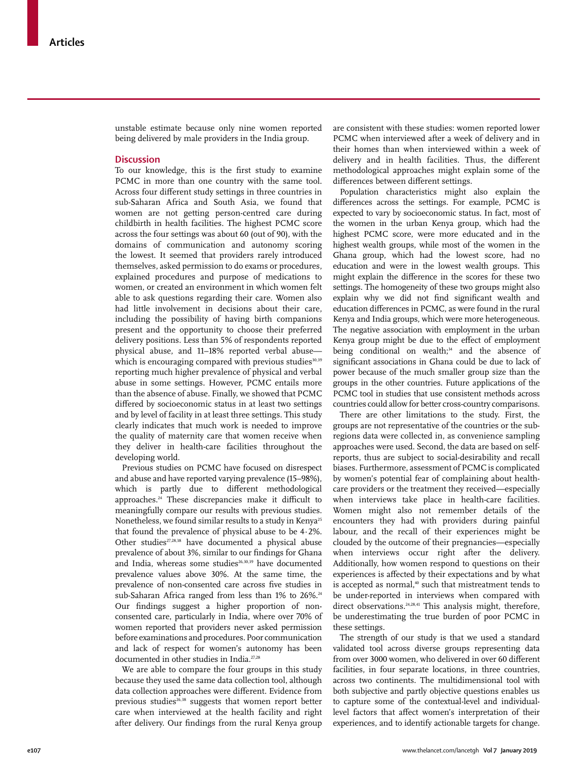unstable estimate because only nine women reported being delivered by male providers in the India group.

## **Discussion**

To our knowledge, this is the first study to examine PCMC in more than one country with the same tool. Across four different study settings in three countries in sub-Saharan Africa and South Asia, we found that women are not getting person-centred care during childbirth in health facilities. The highest PCMC score across the four settings was about 60 (out of 90), with the domains of communication and autonomy scoring the lowest. It seemed that providers rarely introduced themselves, asked permission to do exams or procedures, explained procedures and purpose of medications to women, or created an environment in which women felt able to ask questions regarding their care. Women also had little involvement in decisions about their care, including the possibility of having birth companions present and the opportunity to choose their preferred delivery positions. Less than 5% of respondents reported physical abuse, and 11–18% reported verbal abuse which is encouraging compared with previous studies<sup>30,39</sup> reporting much higher prevalence of physical and verbal abuse in some settings. However, PCMC entails more than the absence of abuse. Finally, we showed that PCMC differed by socioeconomic status in at least two settings and by level of facility in at least three settings. This study clearly indicates that much work is needed to improve the quality of maternity care that women receive when they deliver in health-care facilities throughout the developing world.

Previous studies on PCMC have focused on disrespect and abuse and have reported varying prevalence (15–98%), which is partly due to different methodological approaches.24 These discrepancies make it difficult to meaningfully compare our results with previous studies. Nonetheless, we found similar results to a study in Kenya<sup>25</sup> that found the prevalence of physical abuse to be 4·2%. Other studies $27,28,38$  have documented a physical abuse prevalence of about 3%, similar to our findings for Ghana and India, whereas some studies<sup>26,30,39</sup> have documented prevalence values above 30%. At the same time, the prevalence of non-consented care across five studies in sub-Saharan Africa ranged from less than 1% to 26%.<sup>24</sup> Our findings suggest a higher proportion of nonconsented care, particularly in India, where over 70% of women reported that providers never asked permission before examinations and procedures. Poor communication and lack of respect for women's autonomy has been documented in other studies in India.<sup>27,28</sup>

We are able to compare the four groups in this study because they used the same data collection tool, although data collection approaches were different. Evidence from previous studies<sup>26,38</sup> suggests that women report better care when interviewed at the health facility and right after delivery. Our findings from the rural Kenya group are consistent with these studies: women reported lower PCMC when interviewed after a week of delivery and in their homes than when interviewed within a week of delivery and in health facilities. Thus, the different methodological approaches might explain some of the differences between different settings.

Population characteristics might also explain the differences across the settings. For example, PCMC is expected to vary by socioeconomic status. In fact, most of the women in the urban Kenya group, which had the highest PCMC score, were more educated and in the highest wealth groups, while most of the women in the Ghana group, which had the lowest score, had no education and were in the lowest wealth groups. This might explain the difference in the scores for these two settings. The homogeneity of these two groups might also explain why we did not find significant wealth and education differences in PCMC, as were found in the rural Kenya and India groups, which were more heterogeneous. The negative association with employment in the urban Kenya group might be due to the effect of employment being conditional on wealth;<sup>34</sup> and the absence of significant associations in Ghana could be due to lack of power because of the much smaller group size than the groups in the other countries. Future applications of the PCMC tool in studies that use consistent methods across countries could allow for better cross-country comparisons.

There are other limitations to the study. First, the groups are not representative of the countries or the subregions data were collected in, as convenience sampling approaches were used. Second, the data are based on selfreports, thus are subject to social-desirability and recall biases. Furthermore, assessment of PCMC is complicated by women's potential fear of complaining about healthcare providers or the treatment they received—especially when interviews take place in health-care facilities. Women might also not remember details of the encounters they had with providers during painful labour, and the recall of their experiences might be clouded by the outcome of their pregnancies—especially when interviews occur right after the delivery. Additionally, how women respond to questions on their experiences is affected by their expectations and by what is accepted as normal,<sup>40</sup> such that mistreatment tends to be under-reported in interviews when compared with direct observations.<sup>24,28,41</sup> This analysis might, therefore, be underestimating the true burden of poor PCMC in these settings.

The strength of our study is that we used a standard validated tool across diverse groups representing data from over 3000 women, who delivered in over 60 different facilities, in four separate locations, in three countries, across two continents. The multidimensional tool with both subjective and partly objective questions enables us to capture some of the contextual-level and individuallevel factors that affect women's interpretation of their experiences, and to identify actionable targets for change.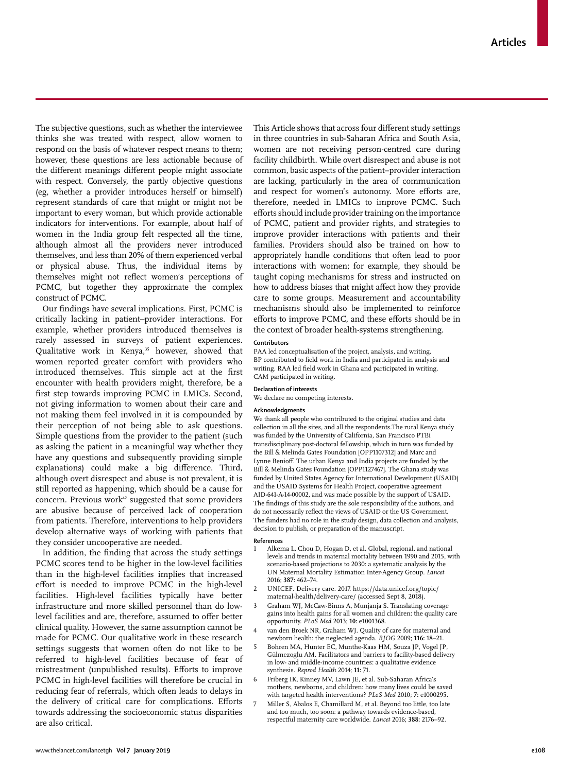The subjective questions, such as whether the interviewee thinks she was treated with respect, allow women to respond on the basis of whatever respect means to them; however, these questions are less actionable because of the different meanings different people might associate with respect. Conversely, the partly objective questions (eg, whether a provider introduces herself or himself) represent standards of care that might or might not be important to every woman, but which provide actionable indicators for interventions. For example, about half of women in the India group felt respected all the time, although almost all the providers never introduced themselves, and less than 20% of them experienced verbal or physical abuse. Thus, the individual items by themselves might not reflect women's perceptions of PCMC, but together they approximate the complex construct of PCMC.

Our findings have several implications. First, PCMC is critically lacking in patient–provider interactions. For example, whether providers introduced themselves is rarely assessed in surveys of patient experiences. Qualitative work in Kenya,<sup>35</sup> however, showed that women reported greater comfort with providers who introduced themselves. This simple act at the first encounter with health providers might, therefore, be a first step towards improving PCMC in LMICs. Second, not giving information to women about their care and not making them feel involved in it is compounded by their perception of not being able to ask questions. Simple questions from the provider to the patient (such as asking the patient in a meaningful way whether they have any questions and subsequently providing simple explanations) could make a big difference. Third, although overt disrespect and abuse is not prevalent, it is still reported as happening, which should be a cause for concern. Previous work<sup>42</sup> suggested that some providers are abusive because of perceived lack of cooperation from patients. Therefore, interventions to help providers develop alternative ways of working with patients that they consider uncooperative are needed.

In addition, the finding that across the study settings PCMC scores tend to be higher in the low-level facilities than in the high-level facilities implies that increased effort is needed to improve PCMC in the high-level facilities. High-level facilities typically have better infrastructure and more skilled personnel than do lowlevel facilities and are, therefore, assumed to offer better clinical quality. However, the same assumption cannot be made for PCMC. Our qualitative work in these research settings suggests that women often do not like to be referred to high-level facilities because of fear of mistreatment (unpublished results). Efforts to improve PCMC in high-level facilities will therefore be crucial in reducing fear of referrals, which often leads to delays in the delivery of critical care for complications. Efforts towards addressing the socioeconomic status disparities are also critical.

This Article shows that across four different study settings in three countries in sub-Saharan Africa and South Asia, women are not receiving person-centred care during facility childbirth. While overt disrespect and abuse is not common, basic aspects of the patient–provider interaction are lacking, particularly in the area of communication and respect for women's autonomy. More efforts are, therefore, needed in LMICs to improve PCMC. Such efforts should include provider training on the importance of PCMC, patient and provider rights, and strategies to improve provider interactions with patients and their families. Providers should also be trained on how to appropriately handle conditions that often lead to poor interactions with women; for example, they should be taught coping mechanisms for stress and instructed on how to address biases that might affect how they provide care to some groups. Measurement and accountability mechanisms should also be implemented to reinforce efforts to improve PCMC, and these efforts should be in the context of broader health-systems strengthening.

#### **Contributors**

PAA led conceptualisation of the project, analysis, and writing. BP contributed to field work in India and participated in analysis and writing. RAA led field work in Ghana and participated in writing. CAM participated in writing.

**Declaration of interests**

We declare no competing interests.

#### **Acknowledgments**

We thank all people who contributed to the original studies and data collection in all the sites, and all the respondents.The rural Kenya study was funded by the University of California, San Francisco PTBi transdisciplinary post-doctoral fellowship, which in turn was funded by the Bill & Melinda Gates Foundation [OPP1107312] and Marc and Lynne Benioff. The urban Kenya and India projects are funded by the Bill & Melinda Gates Foundation [OPP1127467]. The Ghana study was funded by United States Agency for International Development (USAID) and the USAID Systems for Health Project, cooperative agreement AID-641-A-14-00002, and was made possible by the support of USAID. The findings of this study are the sole responsibility of the authors, and do not necessarily reflect the views of USAID or the US Government. The funders had no role in the study design, data collection and analysis, decision to publish, or preparation of the manuscript.

#### **References**

- Alkema L, Chou D, Hogan D, et al. Global, regional, and national levels and trends in maternal mortality between 1990 and 2015, with scenario-based projections to 2030: a systematic analysis by the UN Maternal Mortality Estimation Inter-Agency Group. *Lancet* 2016; **387:** 462–74.
- 2 UNICEF. Delivery care. 2017. https://data.unicef.org/topic/ maternal-health/delivery-care/ (accessed Sept 8, 2018).
- 3 Graham WJ, McCaw-Binns A, Munjanja S. Translating coverage gains into health gains for all women and children: the quality care opportunity. *PLoS Med* 2013; **10:** e1001368.
- van den Broek NR, Graham WJ. Quality of care for maternal and newborn health: the neglected agenda. *BJOG* 2009; **116:** 18–21.
- 5 Bohren MA, Hunter EC, Munthe-Kaas HM, Souza JP, Vogel JP, Gülmezoglu AM. Facilitators and barriers to facility-based delivery in low- and middle-income countries: a qualitative evidence synthesis. *Reprod Health* 2014; **11:** 71.
- 6 Friberg IK, Kinney MV, Lawn JE, et al. Sub-Saharan Africa's mothers, newborns, and children: how many lives could be saved with targeted health interventions? *PLoS Med* 2010; **7:** e1000295.
- 7 Miller S, Abalos E, Chamillard M, et al. Beyond too little, too late and too much, too soon: a pathway towards evidence-based, respectful maternity care worldwide. *Lancet* 2016; **388:** 2176–92.